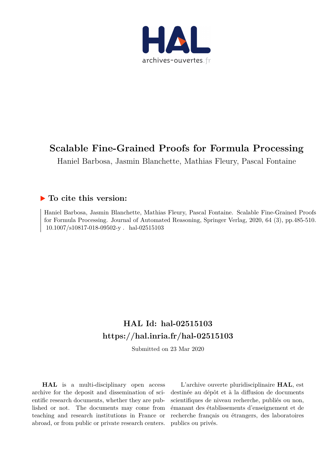

# **Scalable Fine-Grained Proofs for Formula Processing**

Haniel Barbosa, Jasmin Blanchette, Mathias Fleury, Pascal Fontaine

### **To cite this version:**

Haniel Barbosa, Jasmin Blanchette, Mathias Fleury, Pascal Fontaine. Scalable Fine-Grained Proofs for Formula Processing. Journal of Automated Reasoning, Springer Verlag, 2020, 64 (3), pp.485-510.  $10.1007/s10817-018-09502-y$ . hal-02515103

## **HAL Id: hal-02515103 <https://hal.inria.fr/hal-02515103>**

Submitted on 23 Mar 2020

**HAL** is a multi-disciplinary open access archive for the deposit and dissemination of scientific research documents, whether they are published or not. The documents may come from teaching and research institutions in France or abroad, or from public or private research centers.

L'archive ouverte pluridisciplinaire **HAL**, est destinée au dépôt et à la diffusion de documents scientifiques de niveau recherche, publiés ou non, émanant des établissements d'enseignement et de recherche français ou étrangers, des laboratoires publics ou privés.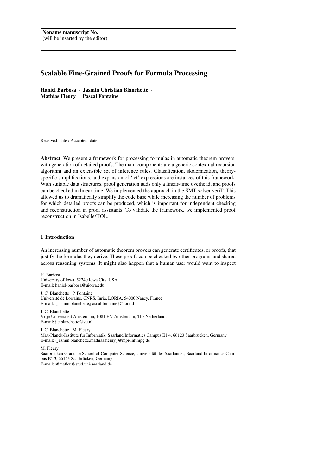### Scalable Fine-Grained Proofs for Formula Processing

Haniel Barbosa · Jasmin Christian Blanchette · Mathias Fleury · Pascal Fontaine

Received: date / Accepted: date

Abstract We present a framework for processing formulas in automatic theorem provers, with generation of detailed proofs. The main components are a generic contextual recursion algorithm and an extensible set of inference rules. Clausification, skolemization, theoryspecific simplifications, and expansion of 'let' expressions are instances of this framework. With suitable data structures, proof generation adds only a linear-time overhead, and proofs can be checked in linear time. We implemented the approach in the SMT solver veriT. This allowed us to dramatically simplify the code base while increasing the number of problems for which detailed proofs can be produced, which is important for independent checking and reconstruction in proof assistants. To validate the framework, we implemented proof reconstruction in Isabelle/HOL.

#### 1 Introduction

An increasing number of automatic theorem provers can generate certificates, or proofs, that justify the formulas they derive. These proofs can be checked by other programs and shared across reasoning systems. It might also happen that a human user would want to inspect

H. Barbosa University of Iowa, 52240 Iowa City, USA E-mail: haniel-barbosa@uiowa.edu

J. C. Blanchette · P. Fontaine Université de Lorraine, CNRS, Inria, LORIA, 54000 Nancy, France E-mail: {jasmin.blanchette,pascal.fontaine}@loria.fr

J. C. Blanchette Vrije Universiteit Amsterdam, 1081 HV Amsterdam, The Netherlands E-mail: j.c.blanchette@vu.nl

J. C. Blanchette · M. Fleury Max-Planck-Institute für Informatik, Saarland Informatics Campus E1 4, 66123 Saarbrücken, Germany E-mail: {jasmin.blanchette,mathias.fleury}@mpi-inf.mpg.de

M. Fleury

Saarbrücken Graduate School of Computer Science, Universität des Saarlandes, Saarland Informatics Campus E1 3, 66123 Saarbrücken, Germany E-mail: s8mafleu@stud.uni-saarland.de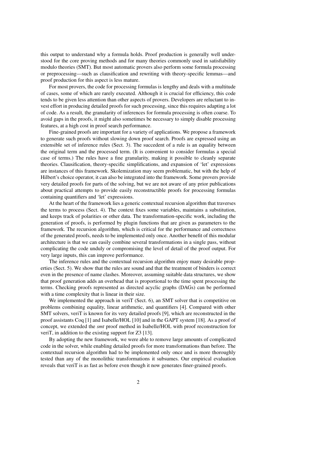this output to understand why a formula holds. Proof production is generally well understood for the core proving methods and for many theories commonly used in satisfiability modulo theories (SMT). But most automatic provers also perform some formula processing or preprocessing—such as clausification and rewriting with theory-specific lemmas—and proof production for this aspect is less mature.

For most provers, the code for processing formulas is lengthy and deals with a multitude of cases, some of which are rarely executed. Although it is crucial for efficiency, this code tends to be given less attention than other aspects of provers. Developers are reluctant to invest effort in producing detailed proofs for such processing, since this requires adapting a lot of code. As a result, the granularity of inferences for formula processing is often coarse. To avoid gaps in the proofs, it might also sometimes be necessary to simply disable processing features, at a high cost in proof search performance.

Fine-grained proofs are important for a variety of applications. We propose a framework to generate such proofs without slowing down proof search. Proofs are expressed using an extensible set of inference rules (Sect. [3\)](#page-3-0). The succedent of a rule is an equality between the original term and the processed term. (It is convenient to consider formulas a special case of terms.) The rules have a fine granularity, making it possible to cleanly separate theories. Clausification, theory-specific simplifications, and expansion of 'let' expressions are instances of this framework. Skolemization may seem problematic, but with the help of Hilbert's choice operator, it can also be integrated into the framework. Some provers provide very detailed proofs for parts of the solving, but we are not aware of any prior publications about practical attempts to provide easily reconstructible proofs for processing formulas containing quantifiers and 'let' expressions.

At the heart of the framework lies a generic contextual recursion algorithm that traverses the terms to process (Sect. [4\)](#page-7-0). The context fixes some variables, maintains a substitution, and keeps track of polarities or other data. The transformation-specific work, including the generation of proofs, is performed by plugin functions that are given as parameters to the framework. The recursion algorithm, which is critical for the performance and correctness of the generated proofs, needs to be implemented only once. Another benefit of this modular architecture is that we can easily combine several transformations in a single pass, without complicating the code unduly or compromising the level of detail of the proof output. For very large inputs, this can improve performance.

The inference rules and the contextual recursion algorithm enjoy many desirable properties (Sect. [5\)](#page-12-0). We show that the rules are sound and that the treatment of binders is correct even in the presence of name clashes. Moreover, assuming suitable data structures, we show that proof generation adds an overhead that is proportional to the time spent processing the terms. Checking proofs represented as directed acyclic graphs (DAGs) can be performed with a time complexity that is linear in their size.

We implemented the approach in veriT (Sect. [6\)](#page-17-0), an SMT solver that is competitive on problems combining equality, linear arithmetic, and quantifiers [\[4\]](#page-24-0). Compared with other SMT solvers, veriT is known for its very detailed proofs [\[9\]](#page-25-0), which are reconstructed in the proof assistants Coq [\[1\]](#page-24-1) and Isabelle/HOL [\[10\]](#page-25-1) and in the GAPT system [\[18\]](#page-25-2). As a proof of concept, we extended the *smt* proof method in Isabelle/HOL with proof reconstruction for veriT, in addition to the existing support for Z3 [\[13\]](#page-25-3).

By adopting the new framework, we were able to remove large amounts of complicated code in the solver, while enabling detailed proofs for more transformations than before. The contextual recursion algorithm had to be implemented only once and is more thoroughly tested than any of the monolithic transformations it subsumes. Our empirical evaluation reveals that veriT is as fast as before even though it now generates finer-grained proofs.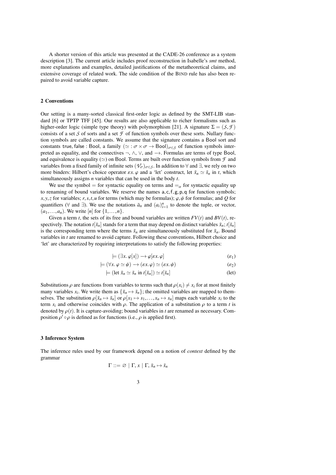A shorter version of this article was presented at the CADE-26 conference as a system description [\[3\]](#page-24-2). The current article includes proof reconstruction in Isabelle's *smt* method, more explanations and examples, detailed justifications of the metatheoretical claims, and extensive coverage of related work. The side condition of the BIND rule has also been repaired to avoid variable capture.

#### 2 Conventions

Our setting is a many-sorted classical first-order logic as defined by the SMT-LIB standard [\[6\]](#page-24-3) or TPTP TFF [\[45\]](#page-26-0). Our results are also applicable to richer formalisms such as higher-order logic (simple type theory) with polymorphism [\[21\]](#page-25-4). A signature  $\Sigma = (S, \mathcal{F})$ consists of a set  $S$  of sorts and a set  $\mathcal F$  of function symbols over these sorts. Nullary function symbols are called constants. We assume that the signature contains a Bool sort and constants true, false : Bool, a family  $(\simeq : \sigma \times \sigma \to \text{Bool})_{\sigma \in S}$  of function symbols interpreted as equality, and the connectives  $\neg$ ,  $\wedge$ ,  $\vee$ , and  $\rightarrow$ . Formulas are terms of type Bool, and equivalence is equality ( $\simeq$ ) on Bool. Terms are built over function symbols from  $\mathcal F$  and variables from a fixed family of infinite sets  $(\mathcal{V}_{\sigma})_{\sigma \in \mathcal{S}}$ . In addition to  $\forall$  and  $\exists$ , we rely on two more binders: Hilbert's choice operator  $\epsilon x$ .  $\varphi$  and a 'let' construct, let  $\bar{x}_n \simeq \bar{s}_n$  in *t*, which simultaneously assigns *n* variables that can be used in the body *t*.

We use the symbol = for syntactic equality on terms and  $=_{\alpha}$  for syntactic equality up to renaming of bound variables. We reserve the names  $a, c, f, g, p, q$  for function symbols; *x*, *y*, *z* for variables; *r*, *s*, *t*, *u* for terms (which may be formulas);  $\varphi, \psi$  for formulas; and *Q* for quantifiers ( $\forall$  and  $\exists$ ). We use the notations  $\bar{a}_n$  and  $(a_i)_{i=1}^n$  to denote the tuple, or vector,  $(a_1, \ldots, a_n)$ . We write  $[n]$  for  $\{1, \ldots, n\}$ .

Given a term *t*, the sets of its free and bound variables are written  $FV(t)$  and  $BV(t)$ , respectively. The notation  $t[\bar{x}_n]$  stands for a term that may depend on distinct variables  $\bar{x}_n$ ;  $t[\bar{s}_n]$ is the corresponding term where the terms  $\bar{s}_n$  are simultaneously substituted for  $\bar{x}_n$ . Bound variables in *t* are renamed to avoid capture. Following these conventions, Hilbert choice and 'let' are characterized by requiring interpretations to satisfy the following properties:

<span id="page-3-1"></span>
$$
\models (\exists x. \varphi[x]) \rightarrow \varphi[\varepsilon x. \varphi]
$$
\n
$$
\varphi[x] \rightarrow \varphi[\varepsilon x. \varphi]
$$

$$
\models (\forall x. \varphi \simeq \psi) \rightarrow (\varepsilon x. \varphi) \simeq (\varepsilon x. \psi) \tag{2}
$$

<span id="page-3-3"></span><span id="page-3-2"></span>
$$
\models (\text{let } \bar{x}_n \simeq \bar{s}_n \text{ in } t[\bar{x}_n]) \simeq t[\bar{s}_n]
$$
\n(let)

Substitutions  $\rho$  are functions from variables to terms such that  $\rho(x_i) \neq x_i$  for at most finitely many variables  $x_i$ . We write them as  $\{\bar{x}_n \mapsto \bar{s}_n\}$ ; the omitted variables are mapped to themselves. The substitution  $\rho[\bar{x}_n \mapsto \bar{s}_n]$  or  $\rho[x_1 \mapsto s_1, \ldots, x_n \mapsto s_n]$  maps each variable  $x_i$  to the term so and otherwise coincides with  $\alpha$ . The application of a substitution  $\alpha$  to a term t is term  $s_i$  and otherwise coincides with  $\rho$ . The application of a substitution  $\rho$  to a term *t* is denoted by  $\rho(t)$ . It is capture-avoiding; bound variables in *t* are renamed as necessary. Composition  $\rho' \circ \rho$  is defined as for functions (i.e.,  $\rho$  is applied first).

#### <span id="page-3-0"></span>3 Inference System

The inference rules used by our framework depend on a notion of *context* defined by the grammar

$$
\Gamma ::= \varnothing \mid \Gamma, x \mid \Gamma, \bar{x}_n \mapsto \bar{s}_n
$$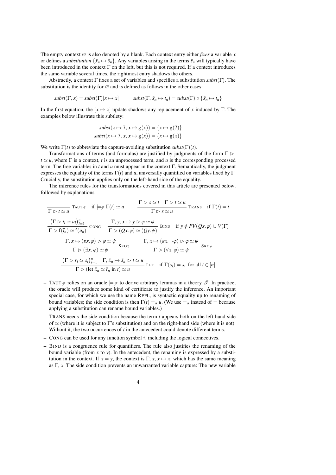The empty context ∅ is also denoted by a blank. Each context entry either *fixes* a variable *x* or defines a *substitution*  $\{\bar{x}_n \mapsto \bar{s}_n\}$ . Any variables arising in the terms  $\bar{s}_n$  will typically have been introduced in the context  $\Gamma$  on the left, but this is not required. If a context introduces the same variable several times, the rightmost entry shadows the others.

Abstractly, a context Γ fixes a set of variables and specifies a substitution *subst*(Γ). The substitution is the identity for  $\varnothing$  and is defined as follows in the other cases:

$$
subst(\Gamma, x) = subst(\Gamma)[x \mapsto x] \qquad \text{subst}(\Gamma, \bar{x}_n \mapsto \bar{t}_n) = subst(\Gamma) \circ {\{\bar{x}_n \mapsto \bar{t}_n\}}
$$

In the first equation, the  $[x \mapsto x]$  update shadows any replacement of *x* induced by Γ. The examples below illustrate this subtlety:

$$
subst(x \mapsto 7, x \mapsto g(x)) = \{x \mapsto g(7)\}
$$

$$
subst(x \mapsto 7, x, x \mapsto g(x)) = \{x \mapsto g(x)\}
$$

We write  $\Gamma(t)$  to abbreviate the capture-avoiding substitution *subst*( $\Gamma(t)$ ).

Transformations of terms (and formulas) are justified by judgments of the form  $\Gamma \triangleright$  $t \approx u$ , where Γ is a context, *t* is an unprocessed term, and *u* is the corresponding processed term. The free variables in *t* and *u* must appear in the context Γ. Semantically, the judgment expresses the equality of the terms  $\Gamma(t)$  and *u*, universally quantified on variables fixed by  $\Gamma$ . Crucially, the substitution applies only on the left-hand side of the equality.

The inference rules for the transformations covered in this article are presented below, followed by explanations.

$$
\frac{\Gamma \rhd t \simeq u}{\Gamma \rhd t \simeq u} \quad \text{Taut}_{\mathcal{F}} \quad \text{if } \models_{\mathcal{F}} \Gamma(t) \simeq u \quad \frac{\Gamma \rhd s \simeq t \quad \Gamma \rhd t \simeq u}{\Gamma \rhd s \simeq u} \quad \text{Trans} \quad \text{if } \Gamma(t) = t
$$
\n
$$
\frac{(\Gamma \rhd t_i \simeq u_i)_{i=1}^n}{\Gamma \rhd f(\bar{t}_n) \simeq f(\bar{u}_n)} \quad \text{Cone} \quad \frac{\Gamma, y, x \mapsto y \rhd \varphi \simeq \psi}{\Gamma \rhd (Qx \cdot \varphi) \simeq (Qy \cdot \psi)} \quad \text{BIND} \quad \text{if } y \notin FV(Qx \cdot \varphi) \cup V(\Gamma)
$$
\n
$$
\frac{\Gamma, x \mapsto (\varepsilon x \cdot \varphi) \rhd \varphi \simeq \psi}{\Gamma \rhd (\exists x \cdot \varphi) \simeq \psi} \quad \text{SKO}_{\exists} \quad \frac{\Gamma, x \mapsto (\varepsilon x \cdot \neg \varphi) \rhd \varphi \simeq \psi}{\Gamma \rhd (\forall x \cdot \varphi) \simeq \psi} \quad \text{SKO}_{\forall}
$$
\n
$$
\frac{(\Gamma \rhd r_i \simeq s_i)_{i=1}^n \quad \Gamma, \bar{x}_n \mapsto \bar{s}_n \rhd t \simeq u}{\Gamma \rhd (\text{let } \bar{x}_n \simeq \bar{r}_n \text{ in } t) \simeq u} \quad \text{LET} \quad \text{if } \Gamma(s_i) = s_i \text{ for all } i \in [n]
$$

- TAUT  $\mathcal{T}$  relies on an oracle  $\models \mathcal{T}$  to derive arbitrary lemmas in a theory  $\mathcal{T}$ . In practice, the oracle will produce some kind of certificate to justify the inference. An important special case, for which we use the name REFL, is syntactic equality up to renaming of bound variables; the side condition is then  $\Gamma(t) =_{\alpha} u$ . (We use  $=_{\alpha}$  instead of  $=$  because applying a substitution can rename bound variables.)
- TRANS needs the side condition because the term *t* appears both on the left-hand side of  $\simeq$  (where it is subject to Γ's substitution) and on the right-hand side (where it is not). Without it, the two occurrences of *t* in the antecedent could denote different terms.
- CONG can be used for any function symbol f, including the logical connectives.
- BIND is a congruence rule for quantifiers. The rule also justifies the renaming of the bound variable (from  $x$  to  $y$ ). In the antecedent, the renaming is expressed by a substitution in the context. If  $x = y$ , the context is  $\Gamma$ ,  $x$ ,  $x \mapsto x$ , which has the same meaning as <sup>Γ</sup>, *<sup>x</sup>*. The side condition prevents an unwarranted variable capture: The new variable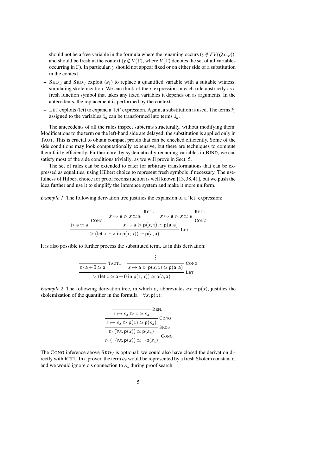should not be a free variable in the formula where the renaming occurs ( $y \notin FV(Qx, \varphi)$ ), and should be fresh in the context ( $y \notin V(\Gamma)$ , where  $V(\Gamma)$  denotes the set of all variables occurring in Γ). In particular, *y* should not appear fixed or on either side of a substitution in the context.

- SKO∃ and SKO $\gamma$  exploit ( $\varepsilon_1$  $\varepsilon_1$ ) to replace a quantified variable with a suitable witness, simulating skolemization. We can think of the  $\varepsilon$  expression in each rule abstractly as a fresh function symbol that takes any fixed variables it depends on as arguments. In the antecedents, the replacement is performed by the context.
- LET exploits [\(let\)](#page-3-2) to expand a 'let' expression. Again, a substitution is used. The terms  $\bar{r}_n$ assigned to the variables  $\bar{x}_n$  can be transformed into terms  $\bar{s}_n$ .

The antecedents of all the rules inspect subterms structurally, without modifying them. Modifications to the term on the left-hand side are delayed; the substitution is applied only in TAUT. This is crucial to obtain compact proofs that can be checked efficiently. Some of the side conditions may look computationally expensive, but there are techniques to compute them fairly efficiently. Furthermore, by systematically renaming variables in BIND, we can satisfy most of the side conditions trivially, as we will prove in Sect. [5.](#page-12-0)

The set of rules can be extended to cater for arbitrary transformations that can be expressed as equalities, using Hilbert choice to represent fresh symbols if necessary. The usefulness of Hilbert choice for proof reconstruction is well known [\[13,](#page-25-3)[38,](#page-26-1)[41\]](#page-26-2), but we push the idea further and use it to simplify the inference system and make it more uniform.

<span id="page-5-0"></span>*Example 1* The following derivation tree justifies the expansion of a 'let' expression:

| $x \mapsto a \triangleright x \simeq a$                            | $\text{REFL}$ | $x \mapsto a \triangleright x \simeq a$             | $\text{REFL}$ |
|--------------------------------------------------------------------|---------------|-----------------------------------------------------|---------------|
| $\triangleright a \simeq a$                                        | Cong          | $x \mapsto a \triangleright p(x, x) \simeq p(a, a)$ | Cong          |
| $\triangleright$ (let $x \simeq a$ in $p(x, x)$ ) $\simeq p(a, a)$ | LET           |                                                     |               |

It is also possible to further process the substituted term, as in this derivation:

$$
\frac{\begin{array}{c}\n\vdots \\
\hline\n\triangleright a + 0 \simeq a\n\end{array} \text{Taut}_+}{\begin{array}{c}\n\uparrow \\
\hline\nx \mapsto a \triangleright p(x, x) \simeq p(a, a)\n\end{array}} \text{Cong}}\n\begin{array}{c}\n\text{Cong} \\
\hline\n\triangleright (\text{let } x \simeq a + 0 \text{ in } p(x, x)) \simeq p(a, a)\n\end{array}
$$

<span id="page-5-1"></span>*Example 2* The following derivation tree, in which  $\varepsilon_x$  abbreviates  $\varepsilon_x$ .  $\neg$ p(*x*), justifies the skolemization of the quantifier in the formula  $\neg \forall x. \mathbf{p}(x)$ :

$$
\frac{\overline{x \mapsto \varepsilon_x \triangleright x \simeq \varepsilon_x} \text{REF}}{\overline{x \mapsto \varepsilon_x \triangleright p(x) \simeq p(\varepsilon_x)} \text{Cong}} \frac{\overline{x \mapsto \varepsilon_x \triangleright p(x) \simeq p(\varepsilon_x)} \text{Cong}}{\triangleright (\forall x. p(x)) \simeq p(\varepsilon_x)} \frac{\text{SKO}_{\forall}}{\text{CONG}}
$$

The CONG inference above  $SKO<sub>V</sub>$  is optional; we could also have closed the derivation directly with REFL. In a prover, the term  $\varepsilon_x$  would be represented by a fresh Skolem constant c, and we would ignore c's connection to  $\varepsilon_x$  during proof search.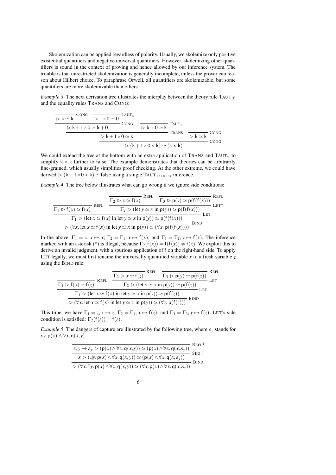Skolemization can be applied regardless of polarity. Usually, we skolemize only positive existential quantifiers and negative universal quantifiers. However, skolemizing other quantifiers is sound in the context of proving and hence allowed by our inference system. The trouble is that unrestricted skolemization is generally incomplete, unless the prover can reason about Hilbert choice. To paraphrase Orwell, all quantifiers are skolemizable, but some quantifiers are more skolemizable than others.

<span id="page-6-1"></span>*Example 3* The next derivation tree illustrates the interplay between the theory rule TAUT  $\sigma$ and the equality rules TRANS and CONG:

| $\mathbf{b} \mathbf{k} \simeq \mathbf{k}$                                             | $\mathbf{CONG}$  | $\mathbf{TAVT_x}$                             |                   |
|---------------------------------------------------------------------------------------|------------------|-----------------------------------------------|-------------------|
| $\mathbf{b} \mathbf{k} + 1 \times 0 \simeq \mathbf{k} + 0$                            | $\mathbf{CONG}$  | $\mathbf{D} \mathbf{k} + 0 \simeq \mathbf{k}$ | $\mathbf{TAUT_+}$ |
| $\mathbf{D} \mathbf{k} + 1 \times 0 \simeq \mathbf{k} + 1 \times 0 \simeq \mathbf{k}$ | $\mathbf{TRANS}$ | $\mathbf{D} \mathbf{k} \simeq \mathbf{k}$     | $\mathbf{CONG}$   |
| $\mathbf{D} \mathbf{k} + 1 \times 0 \simeq \mathbf{k}$                                | $\mathbf{CNG}$   | $\mathbf{CONG}$                               |                   |

We could extend the tree at the bottom with an extra application of TRANS and TAUT<sub><</sub> to simplify  $k < k$  further to false. The example demonstrates that theories can be arbitrarily fine-grained, which usually simplifies proof checking. At the other extreme, we could have derived  $\triangleright$  (k+1×0 < k)  $\simeq$  false using a single TAUT<sub>+∪×∪<</sub> inference.

<span id="page-6-0"></span>*Example 4* The tree below illustrates what can go wrong if we ignore side conditions:

**SET**  
\n
$$
\frac{\Gamma_1 \triangleright f(x) \simeq f(x)}{\Gamma_1 \triangleright f(x) \simeq f(x)} \xrightarrow{\text{REFL}} \frac{\Gamma_2 \triangleright x \simeq f(x)}{\Gamma_2 \triangleright (\text{let } y \simeq x \text{ in } \rho(y)) \simeq \rho(f(f(x)))}{\Gamma_1 \triangleright (\text{let } x \simeq f(x) \text{ in let } y \simeq x \text{ in } \rho(y)) \simeq \rho(f(f(x)))}{\text{LET}} \xrightarrow{\text{LET}} \rho(f(x)) \simeq (\forall x. \rho(f(f(x))))} \xrightarrow{\text{BIND}} \text{LET}
$$

In the above,  $\Gamma_1 = x, x \mapsto x$ ;  $\Gamma_2 = \Gamma_1, x \mapsto f(x)$ ; and  $\Gamma_3 = \Gamma_2, y \mapsto f(x)$ . The inference marked with an asterisk (\*) is illegal, because  $\Gamma_2(f(x)) = f(f(x)) \neq f(x)$ . We exploit this to derive an invalid judgment, with a spurious application of f on the right-hand side. To apply LET legally, we must first rename the universally quantified variable  $x$  to a fresh variable  $z$ using the BIND rule:

**SET**  
\n
$$
\frac{\Gamma_1 \rhd f(x) \simeq f(z)}{\Gamma_1 \rhd (let x \simeq f(x) \text{ in let } y \simeq x \text{ in } p(y)) \simeq p(f(z))} \text{REF}
$$
\n
$$
\frac{\Gamma_1 \rhd (let x \simeq f(x) \text{ in let } y \simeq x \text{ in } p(y)) \simeq p(f(z))}{\rhd (\forall x. let x \simeq f(x) \text{ in let } y \simeq x \text{ in } p(y)) \simeq p(f(z))} \text{BIND}
$$

This time, we have  $\Gamma_1 = z$ ,  $x \mapsto z$ ;  $\Gamma_2 = \Gamma_1$ ,  $x \mapsto f(z)$ ; and  $\Gamma_3 = \Gamma_2$ ,  $y \mapsto f(z)$ . LET's side condition is satisfied:  $\Gamma_2(f(z)) = f(z)$ .

*Example 5* The dangers of capture are illustrated by the following tree, where  $\varepsilon$ <sub>v</sub> stands for  $\epsilon y. p(x) \wedge \forall x. q(x, y)$ :

 $R = \frac{1}{2}$ 

$$
\frac{x, y \mapsto \varepsilon_y \triangleright (\mathsf{p}(x) \land \forall x. \mathsf{q}(x, y)) \simeq (\mathsf{p}(x) \land \forall x. \mathsf{q}(x, \varepsilon_y))}{x \triangleright (\exists y. \mathsf{p}(x) \land \forall x. \mathsf{q}(x, y)) \simeq (\mathsf{p}(x) \land \forall x. \mathsf{q}(x, \varepsilon_y))} \xrightarrow{\text{SRO}_{\exists}} \text{SRO}_{\exists}
$$
\n
$$
\triangleright (\forall x. \exists y. \mathsf{p}(x) \land \forall x. \mathsf{q}(x, y)) \simeq (\forall x. \mathsf{p}(x) \land \forall x. \mathsf{q}(x, \varepsilon_y)) \xrightarrow{\text{BIND}}
$$

6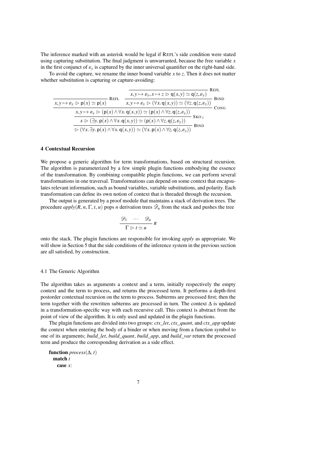The inference marked with an asterisk would be legal if REFL's side condition were stated using capturing substitution. The final judgment is unwarranted, because the free variable *x* in the first conjunct of  $\varepsilon$ <sub>*y*</sub> is captured by the inner universal quantifier on the right-hand side.

To avoid the capture, we rename the inner bound variable *x* to *z*. Then it does not matter whether substitution is capturing or capture-avoiding:

|                                                              | Refl                                                                                                                                                                                                                                                                                                                                                                                                                                                                                                                           |
|--------------------------------------------------------------|--------------------------------------------------------------------------------------------------------------------------------------------------------------------------------------------------------------------------------------------------------------------------------------------------------------------------------------------------------------------------------------------------------------------------------------------------------------------------------------------------------------------------------|
| Refl                                                         | <b>BIND</b>                                                                                                                                                                                                                                                                                                                                                                                                                                                                                                                    |
| $x, y \mapsto \varepsilon_y \triangleright p(x) \simeq p(x)$ | $\frac{\overline{x,y \mapsto \varepsilon_y, x \mapsto z \triangleright q(x,y) \simeq q(z,\varepsilon_y)} \frac{1}{x,y \mapsto \varepsilon_y \triangleright (\forall x. q(x,y)) \simeq (\forall z. q(z,\varepsilon_y))}$                                                                                                                                                                                                                                                                                                        |
|                                                              | CONG<br>$\frac{x,y \mapsto \varepsilon_{\mathbf{y}} \vartriangleright (\mathsf{p}(x) \wedge \forall x.\, \mathsf{q}(x,\mathbf{y})) \simeq (\mathsf{p}(x) \wedge \forall z.\, \mathsf{q}(z,\mathbf{\varepsilon_{\mathbf{y}}}))}{x \vartriangleright (\exists y.\, \mathsf{p}(x) \wedge \forall x.\, \mathsf{q}(x,\mathbf{y})) \simeq (\mathsf{p}(x) \wedge \forall z.\, \mathsf{q}(z,\mathbf{\varepsilon_{\mathbf{y}}}))}{\vartriangleright (\forall x.\, \exists y.\, \mathsf{p}(x) \wedge \forall x.\, \mathsf{q}(x,\mathbf{$ |
|                                                              | $SKO =$                                                                                                                                                                                                                                                                                                                                                                                                                                                                                                                        |
|                                                              | Bind                                                                                                                                                                                                                                                                                                                                                                                                                                                                                                                           |
|                                                              |                                                                                                                                                                                                                                                                                                                                                                                                                                                                                                                                |

#### <span id="page-7-0"></span>4 Contextual Recursion

We propose a generic algorithm for term transformations, based on structural recursion. The algorithm is parameterized by a few simple plugin functions embodying the essence of the transformation. By combining compatible plugin functions, we can perform several transformations in one traversal. Transformations can depend on some context that encapsulates relevant information, such as bound variables, variable substitutions, and polarity. Each transformation can define its own notion of context that is threaded through the recursion.

The output is generated by a proof module that maintains a stack of derivation trees. The procedure  $apply(R, n, \Gamma, t, u)$  pops *n* derivation trees  $\bar{\mathscr{D}}_n$  from the stack and pushes the tree

$$
\frac{\mathscr{D}_1 \quad \cdots \quad \mathscr{D}_n}{\Gamma \rhd t \simeq u} R
$$

onto the stack. The plugin functions are responsible for invoking *apply* as appropriate. We will show in Section [5](#page-12-0) that the side conditions of the inference system in the previous section are all satisfied, by construction.

#### 4.1 The Generic Algorithm

The algorithm takes as arguments a context and a term, initially respectively the empty context and the term to process, and returns the processed term. It performs a depth-first postorder contextual recursion on the term to process. Subterms are processed first; then the term together with the rewritten subterms are processed in turn. The context  $\Delta$  is updated in a transformation-specific way with each recursive call. This context is abstract from the point of view of the algorithm. It is only used and updated in the plugin functions.

The plugin functions are divided into two groups: *ctx\_let*, *ctx\_quant*, and *ctx\_app* update the context when entering the body of a binder or when moving from a function symbol to one of its arguments; *build\_let*, *build\_quant*, *build\_app*, and *build\_var* return the processed term and produce the corresponding derivation as a side effect.

function *process*( $\Delta$ , *t*) match *t* case *x*: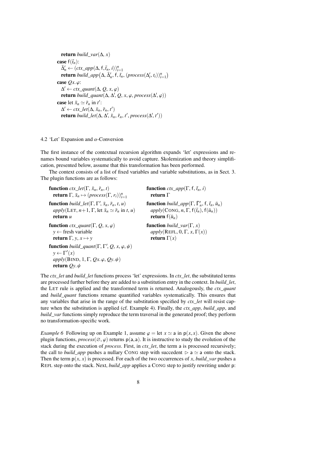```
return build_var(\Delta, x)
case f(\bar{t}_n):
    \bar{\Delta}'_n \leftarrow (ctx\_app(\Delta, f, \bar{t}_n, i))_{i=1}^nreturn build_app (\Delta, \bar{\Delta}'_n, f, \bar{t}_n, (process(\Delta'_i, t_i))_{i=1}^n)case Qx. ϕ:
    Δ' ← ctx_quant(Δ, Q, x, φ)<br>
return build quant(Δ Δ'return build_quant(\Delta, \Delta', Q, x, \varphi, process(\Delta', \varphi))
case let \bar{x}_n \simeq \bar{r}_n in t':
    \Delta' \leftarrow ctx\_let(\Delta, \bar{x}_n, \bar{r}_n, t')<br>
return build let(\Delta, \Delta' ⊼
    \textbf{return } build\_let(\Delta, \Delta', \bar{x}_n, \bar{r}_n, t', process(\Delta', t'))
```
#### <span id="page-8-0"></span>4.2 'Let' Expansion and  $\alpha$ -Conversion

The first instance of the contextual recursion algorithm expands 'let' expressions and renames bound variables systematically to avoid capture. Skolemization and theory simplification, presented below, assume that this transformation has been performed.

The context consists of a list of fixed variables and variable substitutions, as in Sect. [3.](#page-3-0) The plugin functions are as follows:

function  $ctx$ *\_let*( $\Gamma$ ,  $\bar{x}_n$ ,  $\bar{r}_n$ , *t*) **return**  $\Gamma$ ,  $\bar{x}_n \mapsto (process(\Gamma, r_i))_{i=1}^n$ function *ctx\_app*( $\Gamma$ ,  $f$ ,  $\bar{t}_n$ , *i*) return Γ **function** *build\_let*( $\Gamma, \Gamma', \bar{x}_n, \bar{r}_n, t, u$ )<br>*apply*( $\Gamma$ ET *n*+1  $\Gamma$  let  $\bar{x} \approx \bar{r}$  in  $apply$ (LET,  $n+1$ ,  $\Gamma$ , let  $\bar{x}_n \simeq \bar{r}_n$  in  $t, u$ ) return *u* **function** *build\_app*( $\Gamma$ ,  $\overline{\Gamma}'_n$ ,  $f$ ,  $\overline{t}_n$ ,  $\overline{u}_n$ )<br>*apply*( $\overline{C}$ ONG,  $n \Gamma$ ,  $f(\overline{t})$ )  $f(\overline{u})$ )  $apply$ (CONG, *n*,  $\Gamma$ ,  $f(\bar{t}_n)$ ,  $f(\bar{u}_n)$ ) return  $f(\bar{u}_n)$ function  $ctx\_quant(\Gamma, Q, x, \varphi)$ *y* ← fresh variable return Γ, *y*,  $x \mapsto y$ **function** *build\_quant*( $\Gamma, \Gamma', Q, x, \varphi, \psi$ )<br> $y \leftarrow \Gamma'(x)$  $y \leftarrow \Gamma'(x)$  $apply(BIND, 1, \Gamma, Ox, \varphi, Oy, \psi)$ return *Qy*. ψ function *build\_var*( $\Gamma$ , *x*) *apply*(REFL, <sup>0</sup>, <sup>Γ</sup>, *<sup>x</sup>*, <sup>Γ</sup>(*x*)) return Γ(*x*)

The *ctx\_let* and *build\_let* functions process 'let' expressions. In *ctx\_let*, the substituted terms are processed further before they are added to a substitution entry in the context. In *build\_let*, the LET rule is applied and the transformed term is returned. Analogously, the *ctx\_quant* and *build\_quant* functions rename quantified variables systematically. This ensures that any variables that arise in the range of the substitution specified by *ctx\_let* will resist capture when the substitution is applied (cf. Example [4\)](#page-6-0). Finally, the *ctx\_app*, *build\_app*, and *build\_var* functions simply reproduce the term traversal in the generated proof; they perform no transformation-specific work.

*Example 6* Following up on Example [1,](#page-5-0) assume  $\varphi = \text{let } x \simeq a$  in  $p(x, x)$ . Given the above plugin functions, *process*( $\varnothing, \varphi$ ) returns  $p(a,a)$ . It is instructive to study the evolution of the stack during the execution of *process*. First, in *ctx\_let*, the term a is processed recursively; the call to *build app* pushes a nullary CONG step with succedent  $\triangleright$  a  $\simeq$  a onto the stack. Then the term  $p(x, x)$  is processed. For each of the two occurrences of *x*, *build\_var* pushes a REFL step onto the stack. Next, *build\_app* applies a CONG step to justify rewriting under p: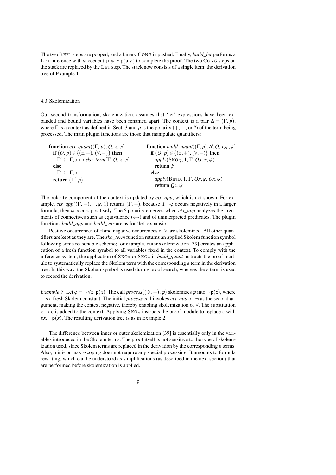The two REFL steps are popped, and a binary CONG is pushed. Finally, *build\_let* performs a LET inference with succedent  $\triangleright \varphi \simeq p(a,a)$  to complete the proof: The two CONG steps on the stack are replaced by the LET step. The stack now consists of a single item: the derivation tree of Example [1.](#page-5-0)

#### <span id="page-9-0"></span>4.3 Skolemization

Our second transformation, skolemization, assumes that 'let' expressions have been expanded and bound variables have been renamed apart. The context is a pair  $\Delta = (\Gamma, p)$ , where  $\Gamma$  is a context as defined in Sect. [3](#page-3-0) and *p* is the polarity (+, –, or ?) of the term being processed. The main plugin functions are those that manipulate quantifiers:

| <b>function</b> ctx_quant( $(\Gamma, p)$ , Q, x, $\varphi$ )            | <b>function</b> build_quant $((\Gamma, p), \Delta', Q, x, \varphi, \psi)$ |
|-------------------------------------------------------------------------|---------------------------------------------------------------------------|
| if $(Q, p) \in \{(\exists, +), (\forall, -)\}\)$ then                   | if $(Q, p) \in \{(\exists, +), (\forall, -)\}\)$ then                     |
| $\Gamma' \leftarrow \Gamma, x \mapsto sko\_term(\Gamma, Q, x, \varphi)$ | $apply(SKO_O, 1, \Gamma, Qx, \varphi, \psi)$                              |
| else                                                                    | return $\psi$                                                             |
| $\Gamma' \leftarrow \Gamma, x$                                          | else                                                                      |
| return $(\Gamma', p)$                                                   | $apply(BIND, 1, \Gamma, Qx, \varphi, Qx, \psi)$                           |
|                                                                         | return $Ox.$ $\psi$                                                       |
|                                                                         |                                                                           |

The polarity component of the context is updated by *ctx\_app*, which is not shown. For example,  $ctx\_\,app((\Gamma, -), \neg, \varphi, 1)$  returns  $(\Gamma, +)$ , because if  $\neg \varphi$  occurs negatively in a larger formula, then  $\varphi$  occurs positively. The ? polarity emerges when *ctx\_app* analyzes the arguments of connectives such as equivalence  $(\leftrightarrow)$  and of uninterpreted predicates. The plugin functions *build\_app* and *build\_var* are as for 'let' expansion.

Positive occurrences of ∃ and negative occurrences of  $\forall$  are skolemized. All other quantifiers are kept as they are. The *sko*\_*term* function returns an applied Skolem function symbol following some reasonable scheme; for example, outer skolemization [\[39\]](#page-26-3) creates an application of a fresh function symbol to all variables fixed in the context. To comply with the inference system, the application of  $SKO<sub>∃</sub>$  or  $SKO<sub>∀</sub>$  in *build\_quant* instructs the proof module to systematically replace the Skolem term with the corresponding  $\varepsilon$  term in the derivation tree. In this way, the Skolem symbol is used during proof search, whereas the  $\varepsilon$  term is used to record the derivation.

*Example 7* Let  $\varphi = \neg \forall x. \mathbf{p}(x)$ . The call  $process((\emptyset, +), \varphi)$  skolemizes  $\varphi$  into  $\neg \mathbf{p}(c)$ , where c is a fresh Skolem constant. The initial *process* call invokes *ctx\_app* on ¬ as the second argument, making the context negative, thereby enabling skolemization of ∀. The substitution  $x \mapsto c$  is added to the context. Applying SKO<sub>∀</sub> instructs the proof module to replace c with  $\varepsilon x$ .  $\neg$  p(*x*). The resulting derivation tree is as in Example [2.](#page-5-1)

The difference between inner or outer skolemization [\[39\]](#page-26-3) is essentially only in the variables introduced in the Skolem terms. The proof itself is not sensitive to the type of skolemization used, since Skolem terms are replaced in the derivation by the corresponding  $\varepsilon$  terms. Also, mini- or maxi-scoping does not require any special processing. It amounts to formula rewriting, which can be understood as simplifications (as described in the next section) that are performed before skolemization is applied.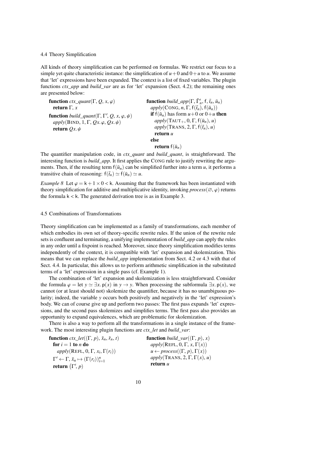#### <span id="page-10-0"></span>4.4 Theory Simplification

All kinds of theory simplification can be performed on formulas. We restrict our focus to a simple yet quite characteristic instance: the simplification of  $u + 0$  and  $0 + u$  to  $u$ . We assume that 'let' expressions have been expanded. The context is a list of fixed variables. The plugin functions *ctx\_app* and *build\_var* are as for 'let' expansion (Sect. [4.2\)](#page-8-0); the remaining ones are presented below:

function *ctx\_quant*( $\Gamma$ , *Q*, *x*,  $\varphi$ ) return <sup>Γ</sup>, *<sup>x</sup>* **function** *build\_quant*( $\Gamma, \Gamma', Q, x, \varphi, \psi$ )<br>*qnnb*<sup>(</sup>RIND, 1,  $\Gamma, Qx$  ( $\theta, Qx$  )( $\theta$ )  $apply(BIND, 1, \Gamma, Ox, \varphi, Ox, \psi)$ return *Qx*. ψ **function** *build\_app*( $\Gamma$ ,  $\overline{\Gamma}'_n$ ,  $f$ ,  $\overline{t}_n$ ,  $\overline{u}_n$ )<br>*apply*( $\overline{C}$ ONG,  $n \Gamma$ ,  $f(\overline{t})$ ,  $f(\overline{u})$ )  $apply$ (CONG, *n*,  $\Gamma$ ,  $f(\bar{t}_n)$ ,  $f(\bar{u}_n)$ ) if  $f(\bar{u}_n)$  has form  $u+0$  or  $0+u$  then  $apply(TAUT_+, 0, \Gamma, f(\bar{u}_n), u)$  $apply$ (TRANS, 2,  $\Gamma$ ,  $f(\bar{t}_n)$ , *u*) return *u* else return  $f(\bar{u}_n)$ 

The quantifier manipulation code, in *ctx\_quant* and *build\_quant*, is straightforward. The interesting function is *build\_app*. It first applies the CONG rule to justify rewriting the arguments. Then, if the resulting term  $f(\bar{u}_n)$  can be simplified further into a term *u*, it performs a transitive chain of reasoning:  $f(\bar{t}_n) \simeq f(\bar{u}_n) \simeq u$ .

*Example 8* Let  $\varphi = k + 1 \times 0 < k$ . Assuming that the framework has been instantiated with theory simplification for additive and multiplicative identity, invoking  $process(\emptyset, \varphi)$  returns the formula  $k < k$ . The generated derivation tree is as in Example [3.](#page-6-1)

#### <span id="page-10-1"></span>4.5 Combinations of Transformations

Theory simplification can be implemented as a family of transformations, each member of which embodies its own set of theory-specific rewrite rules. If the union of the rewrite rule sets is confluent and terminating, a unifying implementation of *build\_app* can apply the rules in any order until a fixpoint is reached. Moreover, since theory simplification modifies terms independently of the context, it is compatible with 'let' expansion and skolemization. This means that we can replace the *build\_app* implementation from Sect. [4.2](#page-8-0) or [4.3](#page-9-0) with that of Sect. [4.4.](#page-10-0) In particular, this allows us to perform arithmetic simplification in the substituted terms of a 'let' expression in a single pass (cf. Example [1\)](#page-5-0).

The combination of 'let' expansion and skolemization is less straightforward. Consider the formula  $\varphi = \text{let } y \simeq \exists x$ .  $p(x)$  in  $y \to y$ . When processing the subformula  $\exists x$ .  $p(x)$ , we cannot (or at least should not) skolemize the quantifier, because it has no unambiguous polarity; indeed, the variable *y* occurs both positively and negatively in the 'let' expression's body. We can of course give up and perform two passes: The first pass expands 'let' expressions, and the second pass skolemizes and simplifies terms. The first pass also provides an opportunity to expand equivalences, which are problematic for skolemization.

There is also a way to perform all the transformations in a single instance of the framework. The most interesting plugin functions are *ctx\_let* and *build\_var*:

**function** *ctx\_let*(( $\Gamma$ , *p*),  $\bar{x}_n$ ,  $\bar{r}_n$ , *t*) for  $i = 1$  to *n* do *apply*(REFL, <sup>0</sup>, <sup>Γ</sup>, *<sup>x</sup><sup>i</sup>* , <sup>Γ</sup>(*ri*))  $\Gamma' \leftarrow \Gamma, \bar{x}_n \mapsto (\Gamma(r_i))_{i=1}^n$ <br> **roturn**  $(\Gamma', n)$ return  $(\Gamma', p)$ function *build\_var*( $(\Gamma, p)$ , *x*)  $apply$ (REFL, 0, Γ, *x*, Γ(*x*))  $u \leftarrow process((\Gamma, p), \Gamma(x))$ *apply*(TRANS, <sup>2</sup>, <sup>Γ</sup>, <sup>Γ</sup>(*x*), *<sup>u</sup>*) return *u*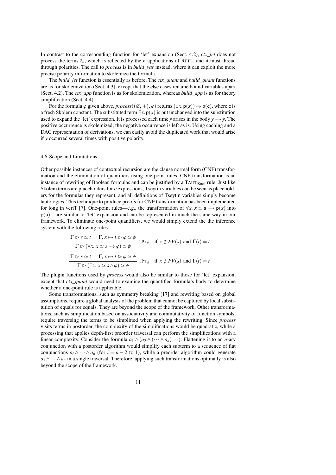In contrast to the corresponding function for 'let' expansion (Sect. [4.2\)](#page-8-0), *ctx\_let* does not process the terms  $\bar{r}_n$ , which is reflected by the *n* applications of REFL, and it must thread through polarities. The call to *process* is in *build\_var* instead, where it can exploit the more precise polarity information to skolemize the formula.

The *build\_let* function is essentially as before. The *ctx\_quant* and *build\_quant* functions are as for skolemization (Sect. [4.3\)](#page-9-0), except that the else cases rename bound variables apart (Sect. [4.2\)](#page-8-0). The *ctx\_app* function is as for skolemization, whereas *build\_app* is as for theory simplification (Sect. [4.4\)](#page-10-0).

For the formula  $\varphi$  given above, *process*( $(\varnothing, +)$ ,  $\varphi$ ) returns  $(\exists x. p(x)) \rightarrow p(c)$ , where c is a fresh Skolem constant. The substituted term <sup>∃</sup>*x*.p(*x*) is put unchanged into the substitution used to expand the 'let' expression. It is processed each time *y* arises in the body  $y \rightarrow y$ . The positive occurrence is skolemized; the negative occurrence is left as is. Using caching and a DAG representation of derivations, we can easily avoid the duplicated work that would arise if *y* occurred several times with positive polarity.

#### <span id="page-11-0"></span>4.6 Scope and Limitations

Other possible instances of contextual recursion are the clause normal form (CNF) transformation and the elimination of quantifiers using one-point rules. CNF transformation is an instance of rewriting of Boolean formulas and can be justified by a  $TAUT<sub>Bool</sub>$  rule. Just like Skolem terms are placeholders for  $\varepsilon$  expressions, Tseytin variables can be seen as placeholders for the formulas they represent, and all definitions of Tseytin variables simply become tautologies. This technique to produce proofs for CNF transformation has been implemented for long in veriT [\[7\]](#page-24-4). One-point rules—e.g., the transformation of  $\forall x. x \simeq a \rightarrow p(x)$  into p(a)—are similar to 'let' expansion and can be represented in much the same way in our framework. To eliminate one-point quantifiers, we would simply extend the the inference system with the following rules:

$$
\frac{\Gamma \rhd s \simeq t \quad \Gamma, x \mapsto t \rhd \varphi \simeq \psi}{\Gamma \rhd (\forall x. \ x \simeq s \to \varphi) \simeq \psi} \text{ 1PT}_{\forall} \quad \text{if } x \notin FV(s) \text{ and } \Gamma(t) = t
$$
\n
$$
\frac{\Gamma \rhd s \simeq t \quad \Gamma, x \mapsto t \rhd \varphi \simeq \psi}{\Gamma \rhd (\exists x. \ x \simeq s \land \varphi) \simeq \psi} \text{ 1PT}_{\exists} \quad \text{if } x \notin FV(s) \text{ and } \Gamma(t) = t
$$

The plugin functions used by *process* would also be similar to those for 'let' expansion, except that *ctx* quant would need to examine the quantified formula's body to determine whether a one-point rule is applicable.

Some transformations, such as symmetry breaking [\[17\]](#page-25-5) and rewriting based on global assumptions, require a global analysis of the problem that cannot be captured by local substitution of equals for equals. They are beyond the scope of the framework. Other transformations, such as simplification based on associativity and commutativity of function symbols, require traversing the terms to be simplified when applying the rewriting. Since *process* visits terms in postorder, the complexity of the simplifications would be quadratic, while a processing that applies depth-first preorder traversal can perform the simplifications with a linear complexity. Consider the formula  $a_1 \wedge (a_2 \wedge (\cdots \wedge a_n) \cdots)$ . Flattening it to an *n*-ary conjunction with a postorder algorithm would simplify each subterm to a sequence of flat conjunctions  $a_i \wedge \cdots \wedge a_n$  (for  $i = n - 2$  to 1), while a preorder algorithm could generate  $a_1 \wedge \cdots \wedge a_n$  in a single traversal. Therefore, applying such transformations optimally is also beyond the scope of the framework.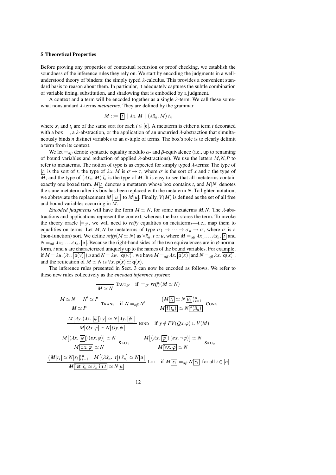#### <span id="page-12-0"></span>5 Theoretical Properties

<span id="page-12-1"></span> $\overline{\mathcal{L}}$ 

Before proving any properties of contextual recursion or proof checking, we establish the soundness of the inference rules they rely on. We start by encoding the judgments in a wellunderstood theory of binders: the simply typed  $\lambda$ -calculus. This provides a convenient standard basis to reason about them. In particular, it adequately captures the subtle combination of variable fixing, substitution, and shadowing that is embodied by a judgment.

A context and a term will be encoded together as a single  $\lambda$ -term. We call these somewhat nonstandard λ-terms *metaterms*. They are defined by the grammar

$$
M ::= \boxed{t} | \lambda x. M | (\lambda \bar{x}_n. M) \bar{t}_n
$$

where  $x_i$  and  $t_i$  are of the same sort for each  $i \in [n]$ . A metaterm is either a term *t* decorated with a box  $\Box$ , a  $\lambda$ -abstraction, or the application of an uncurried  $\lambda$ -abstraction that simultaneously binds *n* distinct variables to an *n*-tuple of terms. The box's role is to clearly delimit a term from its context.

We let  $\equiv_{\alpha\beta}$  denote syntactic equality modulo  $\alpha$ - and  $\beta$ -equivalence (i.e., up to renaming of bound variables and reduction of applied  $\lambda$ -abstractions). We use the letters *M*,*N*,*P* to refer to metaterms. The notion of type is as expected for simply typed  $\lambda$ -terms: The type of *t* is the sort of *t*; the type of  $\lambda x$ . *M* is  $\sigma \to \tau$ , where  $\sigma$  is the sort of *x* and  $\tau$  the type of  $\overline{M}$ ; and the type of  $(\lambda \bar{x}_n, M)$   $\bar{t}_n$  is the type of *M*. It is easy to see that all metaterms contain exactly one boxed term.  $M[t]$  denotes a metaterm whose box contains *t*, and  $M[N]$  denotes the same metaterm after its box has been replaced with the metaterm  $N$ . To lighten notation, we abbreviate the replacement  $M[\overline{u}]$  to  $M[\overline{u}]$ . Finally,  $V(M)$  is defined as the set of all free and bound variables occurring in *M*.

*Encoded judgments* will have the form  $M \simeq N$ , for some metaterms *M*,*N*. The  $\lambda$ -abstractions and applications represent the context, whereas the box stores the term. To invoke the theory oracle  $\models \mathcal{F}$ , we will need to *reify* equalities on metaterms—i.e., map them to equalities on terms. Let *M*, *N* be metaterms of type  $\sigma_1 \to \cdots \to \sigma_n \to \sigma$ , where  $\sigma$  is a (non-function) sort. We define  $reify(M \simeq N)$  as  $\forall \bar{x}_n$ .  $t \simeq u$ , where  $M =_{\alpha\beta} \lambda x_1 \dots \lambda x_n$ .  $\boxed{t}$  and  $N = \alpha \beta \lambda x_1 \ldots \lambda x_n$ . *u*. Because the right-hand sides of the two equivalences are in β-normal form, *t* and *u* are characterized uniquely up to the names of the bound variables. For example, if  $M = \lambda u$ . ( $\lambda v$ .  $p(v)$ ) *u* and  $N = \lambda w$ .  $q(w)$ , we have  $M = \alpha \beta \lambda x$ .  $p(x)$  and  $N = \alpha \beta \lambda x$ .  $q(x)$ , and the reification of  $M \simeq N$  is  $\forall x$ .  $p(x) \simeq q(x)$ .

The inference rules presented in Sect. [3](#page-3-0) can now be encoded as follows. We refer to these new rules collectively as the *encoded inference system*:

 $\overline{\phantom{a}}$  TAUT<sub>*T*</sub> if  $\models$  *T* reify( $M \simeq N$ )

$$
M \simeq N
$$
\n
$$
\frac{M \simeq N}{M \simeq P} \text{ Trans } \text{ if } N =_{\alpha\beta} N' \qquad \frac{(M[t_i] \simeq N[u_i])_{i=1}^n}{M[\overline{f(\overline{t}_n)}] \simeq N[\overline{t_1} \overline{u}_n]} \text{ CONG}
$$
\n
$$
\frac{M[\lambda y. (\lambda x. \overline{\varphi}) y] \simeq N[\lambda y. \overline{\psi}]}{M[\underline{Qx. \varphi}] \simeq N[\underline{Qy. \psi}]} \text{ BIND} \text{ if } y \notin FV(Qx. \varphi) \cup V(M)
$$
\n
$$
\frac{M[(\lambda x. \overline{\varphi}) (\varepsilon x. \varphi)] \simeq N}{M[\overline{\exists x. \varphi}] \simeq N} \text{ SKO}_{\overline{1}} \qquad \frac{M[(\lambda x. \overline{\varphi}) (\varepsilon x. \neg \varphi)] \simeq N}{M[\overline{\forall x. \varphi}] \simeq N} \text{ SKO}_{\forall}
$$
\n
$$
\frac{M[\overline{r_i}] \simeq N[\overline{s_i}]_{i=1}^n M[(\lambda \overline{x_n} \cdot \overline{t}]) \overline{s_n}] \simeq N[\underline{u}]}{\text{LET } \text{ if } M[\overline{s_i}] =_{\alpha\beta} N[\overline{s_i}] \text{ for all } i \in [n]}
$$

12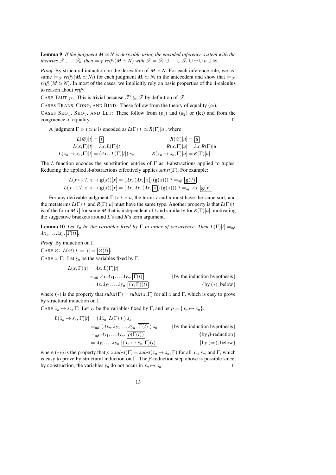**Lemma 9** If the judgment  $M \simeq N$  is derivable using the encoded inference system with the *theories*  $\mathscr{T}_1,\ldots,\mathscr{T}_n$ , *then*  $\models \mathscr{T}$  *reify*( $M \simeq N$ ) *with*  $\mathscr{T} = \mathscr{T}_1 \cup \cdots \cup \mathscr{T}_n \cup \simeq \cup \mathscr{E} \cup$  let.

*Proof* By structural induction on the derivation of  $M \simeq N$ . For each inference rule, we assume  $\models$  *s reify*( $M_i \simeq N_i$ ) for each judgment  $M_i \simeq N_i$  in the antecedent and show that  $\models$  *s reify*( $M \simeq N$ ). In most of the cases, we implicitly rely on basic properties of the  $\lambda$ -calculus to reason about *reify*.

CASE TAUT  $\mathcal{P}'$ : This is trivial because  $\mathcal{P}' \subseteq \mathcal{P}$  by definition of  $\mathcal{P}$ .

CASES TRANS, CONG, AND BIND: These follow from the theory of equality ( $\simeq$ ).

CASES SKO∃, SKO $\vee$ , AND LET: These follow from  $(\varepsilon_1)$  $(\varepsilon_1)$  $(\varepsilon_1)$  and  $(\varepsilon_2)$  $(\varepsilon_2)$  $(\varepsilon_2)$  or [\(let\)](#page-3-2) and from the congruence of equality. congruence of equality.

A judgment  $\Gamma \rhd t \simeq u$  is encoded as  $L(\Gamma)[t] \simeq R(\Gamma)[u]$ , where

$$
L(\varnothing)[t] = [t] \qquad R(\varnothing)[u] = [u]
$$
  
\n
$$
L(x,\Gamma)[t] = \lambda x. L(\Gamma)[t] \qquad R(x,\Gamma)[u] = \lambda x. R(\Gamma)[u]
$$
  
\n
$$
L(\bar{x}_n \mapsto \bar{s}_n, \Gamma)[t] = (\lambda \bar{x}_n. L(\Gamma)[t]) \bar{s}_n \qquad R(\bar{x}_n \mapsto \bar{s}_n, \Gamma)[u] = R(\Gamma)[u]
$$

The *<sup>L</sup>* function encodes the substitution entries of <sup>Γ</sup> as λ-abstractions applied to tuples. Reducing the applied λ-abstractions effectively applies *subst*(Γ). For example:

$$
L(x \mapsto 7, x \mapsto g(x))[x] = (\lambda x. (\lambda x. \overline{x}]) (g(x))) 7 =_{\alpha\beta} \underline{g(7)}
$$

$$
L(x \mapsto 7, x, x \mapsto g(x))[x] = (\lambda x. \lambda x. (\lambda x. \overline{x}]) (g(x))) 7 =_{\alpha\beta} \lambda x. \overline{g(x)}
$$

For any derivable judgment  $\Gamma \triangleright t \simeq u$ , the terms t and u must have the same sort, and the metaterms  $L(\Gamma)[t]$  and  $R(\Gamma)[u]$  must have the same type. Another property is that  $L(\Gamma)[t]$ is of the form  $M[t]$  for some *M* that is independent of *t* and similarly for  $R(\Gamma)[u]$ , motivating the suggestive brackets around *L*'s and *R*'s term argument.

<span id="page-13-0"></span>**Lemma 10** *Let*  $\bar{x}_n$  *be the variables fixed by*  $\Gamma$  *in order of occurrence. Then*  $L(\Gamma)[t] =_{\alpha\beta}$  $\lambda x_1 \ldots \lambda x_n$ .  $\Gamma(t)$ .

*Proof* By induction on Γ.

 $CASE \oslash: L(\oslash [t] = [t] = \overline{\oslash (t)}.$ CASE *x*, Γ: Let  $\bar{y}_n$  be the variables fixed by Γ.<br> $L(x, \Gamma)[t] = \lambda x. L(\Gamma)[t]$ 

$$
L(x, \Gamma)[t] = \lambda x. L(\Gamma)[t]
$$
  
=<sub>αβ</sub>  $\lambda x. \lambda y_1 ... \lambda y_n. \Gamma(t)$  {by the induction hypothesis}  
=  $\lambda x. \lambda y_1 ... \lambda y_n. \Gamma(x, \Gamma)(t)$  {by (\*), below}

where (\*) is the property that  $\textit{subst}(\Gamma) = \textit{subst}(x, \Gamma)$  for all x and  $\Gamma$ , which is easy to prove by structural induction on Γ.

CASE  $\bar{x}_n \mapsto \bar{s}_n$ , Γ: Let  $\bar{y}_n$  be the variables fixed by Γ, and let  $\rho = {\bar{x}_n \mapsto \bar{s}_n}$ .<br>  $L(\bar{x}_n \mapsto \bar{s}_n$ , Γ) [t] =  $(\lambda \bar{x}_n, L(\Gamma)[t]) \bar{s}_n$ 

$$
L(\bar{x}_n \mapsto \bar{s}_n, \Gamma)[t] = (\lambda \bar{x}_n. L(\Gamma)[t]) \bar{s}_n
$$
  
\n
$$
=_{\alpha\beta} (\lambda \bar{x}_n. \lambda y_1. \dots \lambda y_n. \overline{\Gamma(t)}) \bar{s}_n
$$
 {by the induction hypothesis}  
\n
$$
=_{\alpha\beta} \lambda y_1. \dots \lambda y_n. \overline{\rho(\Gamma(t))}
$$
 {by β-reduction}  
\n
$$
= \lambda y_1. \dots \lambda y_n. \overline{(\bar{x}_n \mapsto \bar{s}_n, \Gamma)(t)}
$$
 {by (\*\*), below}

<span id="page-13-1"></span>where (\*\*) is the property that  $\rho \circ \textit{subst}(\Gamma) = \textit{subst}(\bar{x}_n \mapsto \bar{s}_n, \Gamma)$  for all  $\bar{x}_n$ ,  $\bar{s}_n$ , and  $\Gamma$ , which is easy to prove by structural induction on Γ. The β-reduction step above is possible since,<br>by construction, the variables  $\bar{v}_n$  do not occur in  $\bar{x}_n \mapsto \bar{s}_n$ . by construction, the variables  $\bar{y}_n$  do not occur in  $\bar{x}_n \mapsto \bar{s}_n$ .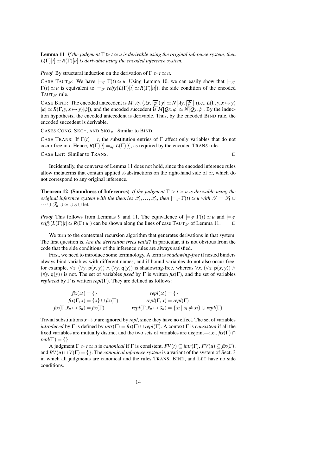**Lemma 11** *If the judgment*  $\Gamma \triangleright t \simeq u$  *is derivable using the original inference system, then*  $L(\Gamma)[t] \simeq R(\Gamma)[u]$  *is derivable using the encoded inference system.* 

*Proof* By structural induction on the derivation of  $\Gamma \triangleright t \simeq u$ .

CASE TAUT  $\mathcal{T}$ : We have  $\models \mathcal{T}$   $\Gamma(t) \simeq u$ . Using Lemma [10,](#page-13-0) we can easily show that  $\models \mathcal{T}$  $\Gamma(t) \simeq u$  is equivalent to  $\models_{\mathcal{T}} relfyl(L(\Gamma)[t] \simeq R(\Gamma)[u])$ , the side condition of the encoded TAUT  $\mathcal{T}$  rule.

CASE BIND: The encoded antecedent is  $M[\lambda y.(\lambda x. (\varphi)) y] \simeq N[\lambda y. (\psi)]$  (i.e.,  $L(\Gamma, y, x \mapsto y)$ )<br>  $[\omega] \sim R(\Gamma, y, x \mapsto y) [\psi]$  and the encoded succedent is  $M[\Omega x, \varphi] \sim N[\Omega y, \psi]$ . By the induc- $[\varphi] \simeq R(\Gamma, y, x \mapsto y][\psi]$ , and the encoded succedent is  $M[\overline{Qx, \varphi}] \simeq N[\overline{Qy, \psi}]$ . By the induction hypothesis, the encoded antecedent is derivable. Thus, by the encoded BIND rule, the encoded succedent is derivable.

CASES CONG, SKO∃, AND SKO∀: Similar to BIND.

CASE TRANS: If  $\Gamma(t) = t$ , the substitution entries of  $\Gamma$  affect only variables that do not occur free in *t*. Hence,  $R(\Gamma)[t] =_{\alpha\beta} L(\Gamma)[t]$ , as required by the encoded TRANS rule.

CASE LET: Similar to TRANS.

Incidentally, the converse of Lemma [11](#page-13-1) does not hold, since the encoded inference rules allow metaterms that contain applied  $\lambda$ -abstractions on the right-hand side of  $\simeq$ , which do not correspond to any original inference.

**Theorem 12 (Soundness of Inferences)** *If the judgment*  $\Gamma \triangleright t \simeq u$  *is derivable using the original inference system with the theories*  $\mathcal{T}_1,\ldots,\mathcal{T}_n$ , *then*  $\models_{\mathcal{T}} \Gamma(t) \simeq u$  *with*  $\mathcal{T} = \mathcal{T}_1 \cup$  $\cdots \cup \mathscr{T}_n \cup \simeq \cup \varepsilon \cup \text{let.}$ 

*Proof* This follows from Lemmas [9](#page-12-1) and [11.](#page-13-1) The equivalence of  $\models \mathcal{T}(\mathbf{r}) \simeq \mathbf{u}$  and  $\models \mathcal{T}(\mathbf{r})$ *reify*( $L(\Gamma)[t] \simeq R(\Gamma)[u]$ ) can be shown along the lines of case TAUT  $\mathcal{T}$  of Lemma [11.](#page-13-1)  $\square$ 

We turn to the contextual recursion algorithm that generates derivations in that system. The first question is, *Are the derivation trees valid?* In particular, it is not obvious from the code that the side conditions of the inference rules are always satisfied.

First, we need to introduce some terminology. A term is *shadowing-free* if nested binders always bind variables with different names, and if bound variables do not also occur free; for example,  $\forall x$ . ( $\forall y$ .  $p(x, y)$ )  $\land$  ( $\forall y$ .  $q(y)$ ) is shadowing-free, whereas  $\forall x$ . ( $\forall x$ .  $p(x, y)$ )  $\land$ (∀*y*. <sup>q</sup>(*y*)) is not. The set of variables *fixed* by <sup>Γ</sup> is written *fix*(Γ), and the set of variables *replaced* by  $\Gamma$  is written *repl*( $\Gamma$ ). They are defined as follows:

$$
fix(\varnothing) = \{\} \qquad \qquad \text{repl}(\varnothing) = \{\} \qquad \qquad \text{repl}(\varnothing) = \{\} \qquad \qquad \text{repl}(\Gamma, x) = \text{repl}(\Gamma) \qquad \qquad \text{repl}(\Gamma, x) = \text{repl}(\Gamma) \qquad \qquad \text{repl}(\Gamma, \bar{x}_n \mapsto \bar{s}_n) = \text{fix}(\Gamma) \qquad \qquad \text{repl}(\Gamma, \bar{x}_n \mapsto \bar{s}_n) = \{x_i \mid s_i \neq x_i\} \cup \text{repl}(\Gamma) \qquad \qquad \text{repl}(\Gamma, \bar{x}_n \mapsto \bar{s}_n) = \{x_i \mid s_i \neq x_i\} \cup \text{repl}(\Gamma) \qquad \qquad \text{repl}(\Gamma, \bar{x}_n \mapsto \bar{s}_n) = \{x_i \mid s_i \neq x_i\} \cup \text{repl}(\Gamma) \qquad \qquad \text{repl}(\Gamma, \bar{x}_n \mapsto \bar{x}_n) = \{x_i \mid s_i \neq x_i\} \cup \text{repl}(\Gamma) \qquad \qquad \text{repl}(\Gamma, \bar{x}_n \mapsto \bar{x}_n) = \{x_i \mid s_i \neq x_i\} \cup \text{repl}(\Gamma) \qquad \qquad \text{repl}(\Gamma, \bar{x}_n \mapsto \bar{x}_n) = \{x_i \mid s_i \neq x_i\} \cup \text{repl}(\Gamma) \qquad \qquad \text{repl}(\Gamma, \bar{x}_n \mapsto \bar{x}_n) = \{x_i \mid s_i \neq x_i\} \cup \text{repl}(\Gamma) \qquad \qquad \text{repl}(\Gamma, \bar{x}_n \mapsto \bar{x}_n) = \{x_i \mid s_i \neq x_i\} \cup \text{repl}(\Gamma) \qquad \qquad \text{repl}(\Gamma, \bar{x}_n \mapsto \bar{x}_n) = \{x_i \mid s_i \neq x_i\} \cup \text{repl}(\Gamma) \qquad \qquad \text{repl}(\Gamma, \bar{x}_n \mapsto \bar{x}_n) = \{x_i \mid s_i \neq x_i\} \cup \text{repl}(\Gamma) \qquad \qquad \text{repl}(\Gamma, \bar{x}_n \mapsto \bar{x}_n) = \{x_i \mid s_i \neq x_i\} \cup \text{repl}(\Gamma) \q
$$

Trivial substitutions  $x \mapsto x$  are ignored by *repl*, since they have no effect. The set of variables *introduced* by  $\Gamma$  is defined by  $int(\Gamma) = f\mathfrak{X}(\Gamma) \cup repl(\Gamma)$ . A context  $\Gamma$  is *consistent* if all the fixed variables are mutually distinct and the two sets of variables are disjoint—i.e., *fix*(Γ) ∩  $repl(\Gamma) = \{\}.$ 

<span id="page-14-0"></span>A judgment  $\Gamma \triangleright t \simeq u$  is *canonical* if  $\Gamma$  is consistent,  $FV(t) \subseteq intr(\Gamma), FV(u) \subseteq fix(\Gamma),$ and  $BV(u) \cap V(\Gamma) = \{\}$ . The *canonical inference system* is a variant of the system of Sect. [3](#page-3-0) in which all judgments are canonical and the rules TRANS, BIND, and LET have no side conditions.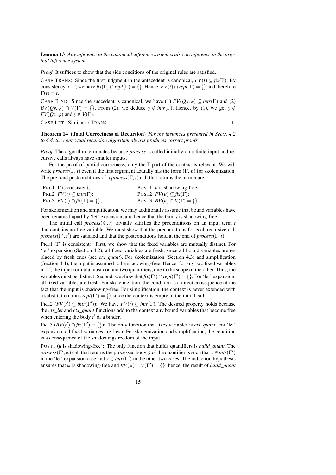Lemma 13 *Any inference in the canonical inference system is also an inference in the original inference system.*

*Proof* It suffices to show that the side conditions of the original rules are satisfied.

CASE TRANS: Since the first judgment in the antecedent is canonical,  $FV(t) \subseteq f\mathfrak{X}(\Gamma)$ . By consistency of  $\Gamma$ , we have  $fix(\Gamma) \cap repl(\Gamma) = \{\}$ . Hence,  $FV(t) \cap repl(\Gamma) = \{\}$  and therefore  $\Gamma(t) = t.$ 

CASE BIND: Since the succedent is canonical, we have (1)  $FV(Qx, \varphi) \subseteq intr(\Gamma)$  and (2)  $BV(Qy, \psi) \cap V(\Gamma) = \{\}.$  From (2), we deduce  $y \notin intr(\Gamma)$ . Hence, by (1), we get  $y \notin$ *FV*( $Qx$ *,*  $\varphi$ ) and  $y \notin V(\Gamma)$ .

 $CASE$  LET: Similar to TRANS.

Theorem 14 (Total Correctness of Recursion) *For the instances presented in Sects. [4.2](#page-8-0) to [4.4,](#page-10-0) the contextual recursion algorithm always produces correct proofs.*

*Proof* The algorithm terminates because *process* is called initially on a finite input and recursive calls always have smaller inputs.

For the proof of partial correctness, only the  $\Gamma$  part of the context is relevant. We will write *process*( $\Gamma$ , *t*) even if the first argument actually has the form  $(\Gamma, p)$  for skolemization. The pre- and postconditions of a *process*(Γ, *<sup>t</sup>*) call that returns the term *<sup>u</sup>* are

| <b>PRE1</b> $\Gamma$ is consistent;   | POST1 $u$ is shadowing-free;         |
|---------------------------------------|--------------------------------------|
| PRE2 $FV(t) \subseteq intr(\Gamma);$  | POST2 $FV(u) \subseteq fix(\Gamma);$ |
| PRE3 $BV(t) \cap fix(\Gamma) = \{\};$ | POST3 $BV(u) \cap V(\Gamma) = \{\}.$ |

For skolemization and simplification, we may additionally assume that bound variables have been renamed apart by 'let' expansion, and hence that the term *t* is shadowing-free.

The initial call  $process(\emptyset, t)$  trivially satisfies the preconditions on an input term *t* that contains no free variable. We must show that the preconditions for each recursive call *process*( $\Gamma'$ , *t'*) are satisfied and that the postconditions hold at the end of *process*( $\Gamma$ , *t*).

PRE1 (Γ' is consistent): First, we show that the fixed variables are mutually distinct. For 'let' expansion (Section [4.2\)](#page-8-0), all fixed variables are fresh, since all bound variables are replaced by fresh ones (see *ctx\_quant*). For skolemization (Section [4.3\)](#page-9-0) and simplification (Section [4.4\)](#page-10-0), the input is assumed to be shadowing-free. Hence, for any two fixed variables in  $\Gamma'$ , the input formula must contain two quantifiers, one in the scope of the other. Thus, the variables must be distinct. Second, we show that  $fix(\Gamma') \cap repl(\Gamma') = \{\}$ . For 'let' expansion, all fixed variables are fresh. For skolemization, the condition is a direct consequence of the fact that the input is shadowing-free. For simplification, the context is never extended with a substitution, thus  $repl(\Gamma') = \{\}$  since the context is empty in the initial call.

PRE2  $(FV(t') \subseteq intr(\Gamma'))$ : We have  $FV(t) \subseteq intr(\Gamma)$ . The desired property holds because the *ctx\_let* and *ctx\_quant* functions add to the context any bound variables that become free when entering the body  $t'$  of a binder.

PRE3  $(BV(t') \cap fix(\Gamma') = \{\})$ : The only function that fixes variables is *ctx\_quant*. For 'let' expansion, all fixed variables are fresh. For skolemization and simplification, the condition is a consequence of the shadowing-freedom of the input.

POST1 (*u* is shadowing-free): The only function that builds quantifiers is *build\_quant*. The *process*( $\Gamma'$ ,  $\varphi$ ) call that returns the processed body  $\psi$  of the quantifier is such that  $y \in intr(\Gamma')$  in the illustrial that  $y \in intr(\Gamma')$  in the other two cases. The induction hypothesis in the 'let' expansion case and  $x \in intr(\Gamma')$  in the other two cases. The induction hypothesis ensures that  $\psi$  is shadowing-free and  $BV(\psi) \cap V(\Gamma') = \{\}$ ; hence, the result of *build\_quant*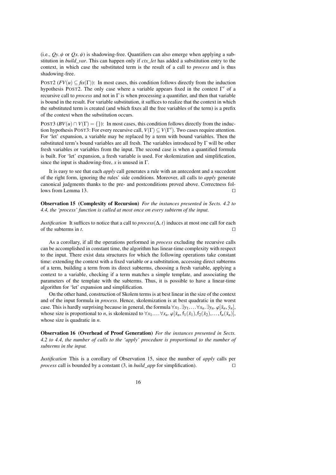(i.e.,  $Qy$ .  $\psi$  or  $Qx$ .  $\psi$ ) is shadowing-free. Quantifiers can also emerge when applying a substitution in *build\_var*. This can happen only if *ctx\_let* has added a substitution entry to the context, in which case the substituted term is the result of a call to *process* and is thus shadowing-free.

POST2 ( $FV(u) \subseteq f\mathfrak{X}(\Gamma)$ ): In most cases, this condition follows directly from the induction hypothesis POST2. The only case where a variable appears fixed in the context  $\Gamma'$  of a recursive call to *process* and not in  $\Gamma$  is when processing a quantifier, and then that variable is bound in the result. For variable substitution, it suffices to realize that the context in which the substituted term is created (and which fixes all the free variables of the term) is a prefix of the context when the substitution occurs.

POST3  $(BV(u) \cap V(\Gamma) = \{\})$ : In most cases, this condition follows directly from the induction hypothesis POST3: For every recursive call,  $V(\Gamma) \subseteq V(\Gamma')$ . Two cases require attention. For 'let' expansion, a variable may be replaced by a term with bound variables. Then the substituted term's bound variables are all fresh. The variables introduced by Γ will be other fresh variables or variables from the input. The second case is when a quantified formula is built. For 'let' expansion, a fresh variable is used. For skolemization and simplification, since the input is shadowing-free,  $x$  is unused in  $\Gamma$ .

It is easy to see that each *apply* call generates a rule with an antecedent and a succedent of the right form, ignoring the rules' side conditions. Moreover, all calls to *apply* generate canonical judgments thanks to the pre- and postconditions proved above. Correctness fol-lows from Lemma [13.](#page-14-0)  $\Box$ 

<span id="page-16-0"></span>Observation 15 (Complexity of Recursion) *For the instances presented in Sects. [4.2](#page-8-0) to [4.4,](#page-10-0) the 'process' function is called at most once on every subterm of the input.*

*Justification* It suffices to notice that a call to *process*( $\Delta$ , *t*) induces at most one call for each of the subterms in *t*. of the subterms in *t*.

As a corollary, if all the operations performed in *process* excluding the recursive calls can be accomplished in constant time, the algorithm has linear-time complexity with respect to the input. There exist data structures for which the following operations take constant time: extending the context with a fixed variable or a substitution, accessing direct subterms of a term, building a term from its direct subterms, choosing a fresh variable, applying a context to a variable, checking if a term matches a simple template, and associating the parameters of the template with the subterms. Thus, it is possible to have a linear-time algorithm for 'let' expansion and simplification.

On the other hand, construction of Skolem terms is at best linear in the size of the context and of the input formula in *process*. Hence, skolemization is at best quadratic in the worst case. This is hardly surprising because in general, the formula  $\forall x_1, \exists y_1, \ldots, \forall x_n, \exists y_n, \varphi[\bar{x}_n, \bar{y}_n]$ , whose size is proportional to *n*, is skolemized to  $\forall x_1$ .... $\forall x_n$ ,  $\varphi[\bar{x}_n, f_1(\bar{x}_1), f_2(\bar{x}_2),..., f_n(\bar{x}_n)],$ whose size is quadratic in *n*.

Observation 16 (Overhead of Proof Generation) *For the instances presented in Sects. [4.2](#page-8-0) to [4.4,](#page-10-0) the number of calls to the 'apply' procedure is proportional to the number of subterms in the input.*

*Justification* This is a corollary of Observation [15,](#page-16-0) since the number of *apply* calls per *process* call is bounded by a constant  $(3, \text{ in } *build\_app* for simplification).$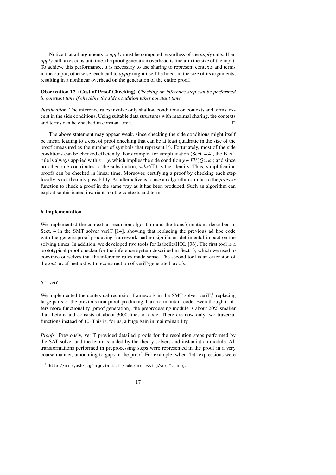Notice that all arguments to *apply* must be computed regardless of the *apply* calls. If an *apply* call takes constant time, the proof generation overhead is linear in the size of the input. To achieve this performance, it is necessary to use sharing to represent contexts and terms in the output; otherwise, each call to *apply* might itself be linear in the size of its arguments, resulting in a nonlinear overhead on the generation of the entire proof.

Observation 17 (Cost of Proof Checking) *Checking an inference step can be performed in constant time if checking the side condition takes constant time.*

*Justification* The inference rules involve only shallow conditions on contexts and terms, except in the side conditions. Using suitable data structures with maximal sharing, the contexts and terms can be checked in constant time.  $\Box$ 

The above statement may appear weak, since checking the side conditions might itself be linear, leading to a cost of proof checking that can be at least quadratic in the size of the proof (measured as the number of symbols that represent it). Fortunately, most of the side conditions can be checked efficiently. For example, for simplification (Sect. [4.4\)](#page-10-0), the BIND rule is always applied with  $x = y$ , which implies the side condition  $y \notin FV(Ox, \varphi)$ ; and since no other rule contributes to the substitution, *subst*(Γ) is the identity. Thus, simplification proofs can be checked in linear time. Moreover, certifying a proof by checking each step locally is not the only possibility. An alternative is to use an algorithm similar to the *process* function to check a proof in the same way as it has been produced. Such an algorithm can exploit sophisticated invariants on the contexts and terms.

#### <span id="page-17-0"></span>6 Implementation

We implemented the contextual recursion algorithm and the transformations described in Sect. [4](#page-7-0) in the SMT solver veriT [\[14\]](#page-25-6), showing that replacing the previous ad hoc code with the generic proof-producing framework had no significant detrimental impact on the solving times. In addition, we developed two tools for Isabelle/HOL [\[36\]](#page-26-4). The first tool is a prototypical proof checker for the inference system described in Sect. [3,](#page-3-0) which we used to convince ourselves that the inference rules made sense. The second tool is an extension of the *smt* proof method with reconstruction of veriT-generated proofs.

#### 6.1 veriT

We implemented the contextual recursion framework in the SMT solver veriT, $<sup>1</sup>$  $<sup>1</sup>$  $<sup>1</sup>$  replacing</sup> large parts of the previous non-proof-producing, hard-to-maintain code. Even though it offers more functionality (proof generation), the preprocessing module is about 20% smaller than before and consists of about 3000 lines of code. There are now only two traversal functions instead of 10. This is, for us, a huge gain in maintainability.

*Proofs.* Previously, veriT provided detailed proofs for the resolution steps performed by the SAT solver and the lemmas added by the theory solvers and instantiation module. All transformations performed in preprocessing steps were represented in the proof in a very coarse manner, amounting to gaps in the proof. For example, when 'let' expressions were

<span id="page-17-1"></span><sup>1</sup> <http://matryoshka.gforge.inria.fr/pubs/processing/veriT.tar.gz>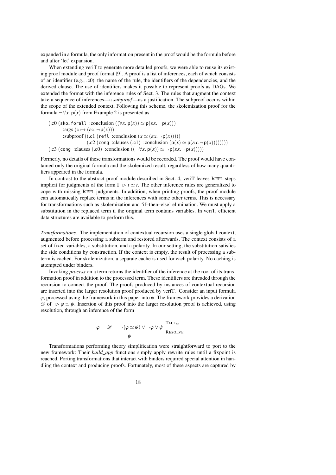expanded in a formula, the only information present in the proof would be the formula before and after 'let' expansion.

When extending veriT to generate more detailed proofs, we were able to reuse its existing proof module and proof format [\[9\]](#page-25-0). A proof is a list of inferences, each of which consists of an identifier (e.g., .c0), the name of the rule, the identifiers of the dependencies, and the derived clause. The use of identifiers makes it possible to represent proofs as DAGs. We extended the format with the inference rules of Sect. [3.](#page-3-0) The rules that augment the context take a sequence of inferences—a *subproof*—as a justification. The subproof occurs within the scope of the extended context. Following this scheme, the skolemization proof for the formula  $\neg \forall x$ .  $p(x)$  from Example [2](#page-5-1) is presented as

\n- (.c0 (sko–forall :conclusion ((
$$
\forall x
$$
.  $p(x)) \simeq p(\varepsilon x \cdot \neg p(x)))$  :args  $(x \mapsto (\varepsilon x \cdot \neg p(x)))$  :subproof ((.c1 (ref1 :conclusion  $(x \simeq (\varepsilon x \cdot \neg p(x))))$ )  $(\therefore c2 \text{ (cong :clauses } (.c1) :conclusion (p(x) \simeq p(\varepsilon x \cdot \neg p(x)))))))$   $(\therefore 3 \text{ (cong :clauses } (.c0) :conclusion ((\neg \forall x. p(x)) \simeq \neg p(\varepsilon x. \neg p(x))))))$
\n

Formerly, no details of these transformations would be recorded. The proof would have contained only the original formula and the skolemized result, regardless of how many quantifiers appeared in the formula.

In contrast to the abstract proof module described in Sect. [4,](#page-7-0) veriT leaves REFL steps implicit for judgments of the form  $\Gamma \triangleright t \simeq t$ . The other inference rules are generalized to cope with missing REFL judgments. In addition, when printing proofs, the proof module can automatically replace terms in the inferences with some other terms. This is necessary for transformations such as skolemization and 'if–then–else' elimination. We must apply a substitution in the replaced term if the original term contains variables. In veriT, efficient data structures are available to perform this.

*Transformations.* The implementation of contextual recursion uses a single global context, augmented before processing a subterm and restored afterwards. The context consists of a set of fixed variables, a substitution, and a polarity. In our setting, the substitution satisfies the side conditions by construction. If the context is empty, the result of processing a subterm is cached. For skolemization, a separate cache is used for each polarity. No caching is attempted under binders.

Invoking *process* on a term returns the identifier of the inference at the root of its transformation proof in addition to the processed term. These identifiers are threaded through the recursion to connect the proof. The proofs produced by instances of contextual recursion are inserted into the larger resolution proof produced by veriT. Consider an input formula  $\varphi$ , processed using the framework in this paper into  $\psi$ . The framework provides a derivation  $\mathscr{D}$  of  $\rhd \varphi \simeq \psi$ . Insertion of this proof into the larger resolution proof is achieved, using resolution, through an inference of the form

$$
\begin{array}{c|c}\n\varphi & \mathscr{D} & \overline{\neg(\varphi \simeq \psi) \vee \neg \varphi \vee \psi} \text{TAUT}_{\simeq} \\
\psi & \psi\n\end{array}
$$

Transformations performing theory simplification were straightforward to port to the new framework: Their *build\_app* functions simply apply rewrite rules until a fixpoint is reached. Porting transformations that interact with binders required special attention in handling the context and producing proofs. Fortunately, most of these aspects are captured by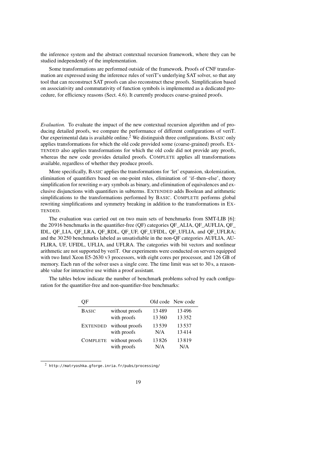the inference system and the abstract contextual recursion framework, where they can be studied independently of the implementation.

Some transformations are performed outside of the framework. Proofs of CNF transformation are expressed using the inference rules of veriT's underlying SAT solver, so that any tool that can reconstruct SAT proofs can also reconstruct these proofs. Simplification based on associativity and commutativity of function symbols is implemented as a dedicated procedure, for efficiency reasons (Sect. [4.6\)](#page-11-0). It currently produces coarse-grained proofs.

*Evaluation.* To evaluate the impact of the new contextual recursion algorithm and of producing detailed proofs, we compare the performance of different configurations of veriT. Our experimental data is available online.<sup>[2](#page-19-0)</sup> We distinguish three configurations. BASIC only applies transformations for which the old code provided some (coarse-grained) proofs. EX-TENDED also applies transformations for which the old code did not provide any proofs, whereas the new code provides detailed proofs. COMPLETE applies all transformations available, regardless of whether they produce proofs.

More specifically, BASIC applies the transformations for 'let' expansion, skolemization, elimination of quantifiers based on one-point rules, elimination of 'if–then–else', theory simplification for rewriting *n*-ary symbols as binary, and elimination of equivalences and exclusive disjunctions with quantifiers in subterms. EXTENDED adds Boolean and arithmetic simplifications to the transformations performed by BASIC. COMPLETE performs global rewriting simplifications and symmetry breaking in addition to the transformations in EX-TENDED.

The evaluation was carried out on two main sets of benchmarks from SMT-LIB [\[6\]](#page-24-3): the 20 916 benchmarks in the quantifier-free (QF) categories QF\_ALIA, QF\_AUFLIA, QF\_ IDL, QF\_LIA, QF\_LRA, QF\_RDL, QF\_UF, QF\_UFIDL, QF\_UFLIA, and QF\_UFLRA; and the 30 250 benchmarks labeled as unsatisfiable in the non-QF categories AUFLIA, AU-FLIRA, UF, UFIDL, UFLIA, and UFLRA. The categories with bit vectors and nonlinear arithmetic are not supported by veriT. Our experiments were conducted on servers equipped with two Intel Xeon E5-2630 v3 processors, with eight cores per processor, and 126 GB of memory. Each run of the solver uses a single core. The time limit was set to 30 s, a reasonable value for interactive use within a proof assistant.

The tables below indicate the number of benchmark problems solved by each configuration for the quantifier-free and non-quantifier-free benchmarks:

| .)F             |                |          | Old code New code |
|-----------------|----------------|----------|-------------------|
| <b>BASIC</b>    | without proofs | 13489    | 13496             |
|                 | with proofs    | 13 3 6 0 | 13352             |
| <b>EXTENDED</b> | without proofs | 13539    | 13537             |
|                 | with proofs    | N/A      | 13414             |
| <b>COMPLETE</b> | without proofs | 13826    | 13819             |
|                 | with proofs    | N/A      | N/A               |

<span id="page-19-0"></span><sup>2</sup> <http://matryoshka.gforge.inria.fr/pubs/processing/>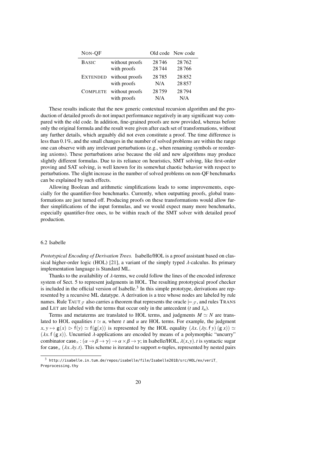| NON-QF          |                         |       | Old code New code |
|-----------------|-------------------------|-------|-------------------|
| <b>BASIC</b>    | without proofs          | 28746 | 28762             |
|                 | with proofs             | 28744 | 28766             |
| <b>EXTENDED</b> | without proofs          | 28785 | 28852             |
|                 | with proofs             | N/A   | 28857             |
|                 | COMPLETE without proofs | 28759 | 28794             |
|                 | with proofs             | N/A   | N/A               |

These results indicate that the new generic contextual recursion algorithm and the production of detailed proofs do not impact performance negatively in any significant way compared with the old code. In addition, fine-grained proofs are now provided, whereas before only the original formula and the result were given after each set of transformations, without any further details, which arguably did not even constitute a proof. The time difference is less than 0.1%, and the small changes in the number of solved problems are within the range one can observe with any irrelevant perturbations (e.g., when renaming symbols or reordering axioms). These perturbations arise because the old and new algorithms may produce slightly different formulas. Due to its reliance on heuristics, SMT solving, like first-order proving and SAT solving, is well known for its somewhat chaotic behavior with respect to perturbations. The slight increase in the number of solved problems on non-QF benchmarks can be explained by such effects.

Allowing Boolean and arithmetic simplifications leads to some improvements, especially for the quantifier-free benchmarks. Currently, when outputting proofs, global transformations are just turned off. Producing proofs on these transformations would allow further simplifications of the input formulas, and we would expect many more benchmarks, especially quantifier-free ones, to be within reach of the SMT solver with detailed proof production.

#### <span id="page-20-1"></span>6.2 Isabelle

*Prototypical Encoding of Derivation Trees.* Isabelle/HOL is a proof assistant based on clas-sical higher-order logic (HOL) [\[21\]](#page-25-4), a variant of the simply typed  $\lambda$ -calculus. Its primary implementation language is Standard ML.

Thanks to the availability of  $\lambda$ -terms, we could follow the lines of the encoded inference system of Sect. [5](#page-12-0) to represent judgments in HOL. The resulting prototypical proof checker is included in the official version of Isabelle. $3$  In this simple prototype, derivations are represented by a recursive ML datatype. A derivation is a tree whose nodes are labeled by rule names. Rule TAUT  $\phi$  also carries a theorem that represents the oracle  $\models \phi$ , and rules TRANS and LET are labeled with the terms that occur only in the antecedent ( $t$  and  $\bar{s}_n$ ).

Terms and metaterms are translated to HOL terms, and judgments  $M \simeq N$  are translated to HOL equalities  $t \approx u$ , where *t* and *u* are HOL terms. For example, the judgment  $x, y \mapsto g(x) > f(y) \approx f(g(x))$  is represented by the HOL equality  $(\lambda x.(\lambda y.fy)(g x)) \approx$  $(\lambda x. f(g x))$ . Uncurried  $\lambda$ -applications are encoded by means of a polymorphic "uncurry" combinator case<sub>x</sub>:  $(\alpha \rightarrow \beta \rightarrow \gamma) \rightarrow \alpha \times \beta \rightarrow \gamma$ ; in Isabelle/HOL,  $\lambda(x, y)$ .*t* is syntactic sugar for case<sub> $\times$ </sub> ( $\lambda x.\lambda y.t$ ). This scheme is iterated to support *n*-tuples, represented by nested pairs

<span id="page-20-0"></span> $^3$  [http://isabelle.in.tum.de/repos/isabelle/file/Isabelle2018/src/HOL/ex/veriT\\_](http://isabelle.in.tum.de/repos/isabelle/file/Isabelle2018/src/HOL/ex/veriT_Preprocessing.thy) [Preprocessing.thy](http://isabelle.in.tum.de/repos/isabelle/file/Isabelle2018/src/HOL/ex/veriT_Preprocessing.thy)

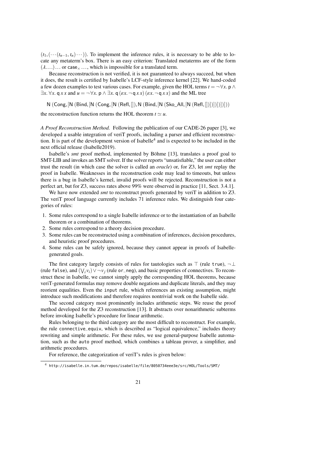$(t_1,(\dots(t_{n-1}, t_n), \dots))$ . To implement the inference rules, it is necessary to be able to locate any metaterm's box. There is an easy criterion: Translated metaterms are of the form  $(\lambda...):$  or case<sub> $\times$ </sub> ..., which is impossible for a translated term.

Because reconstruction is not verified, it is not guaranteed to always succeed, but when it does, the result is certified by Isabelle's LCF-style inference kernel [\[22\]](#page-25-7). We hand-coded a few dozen examples to test various cases. For example, given the HOL terms  $t = \neg \forall x$ . p  $\land$  $∃x. ∀x. q x x$  and  $u = ¬∀x. p ∧ ∃x. q (εx. ¬q x x) (εx. ¬q x x)$  and the ML tree

<sup>N</sup> (Cong,[<sup>N</sup> (Bind,[<sup>N</sup> (Cong,[<sup>N</sup> (Refl,[]),<sup>N</sup> (Bind,[<sup>N</sup> (Sko\_All,[<sup>N</sup> (Refl,[])])])])])]))

the reconstruction function returns the HOL theorem  $t \simeq u$ .

*A Proof Reconstruction Method.* Following the publication of our CADE-26 paper [\[3\]](#page-24-2), we developed a usable integration of veriT proofs, including a parser and efficient reconstruc-tion. It is part of the development version of Isabelle<sup>[4](#page-21-0)</sup> and is expected to be included in the next official release (Isabelle2019).

Isabelle's *smt* proof method, implemented by Böhme [\[13\]](#page-25-3), translates a proof goal to SMT-LIB and invokes an SMT solver. If the solver reports "unsatisfiable," the user can either trust the result (in which case the solver is called an *oracle*) or, for Z3, let *smt* replay the proof in Isabelle. Weaknesses in the reconstruction code may lead to timeouts, but unless there is a bug in Isabelle's kernel, invalid proofs will be rejected. Reconstruction is not a perfect art, but for Z3, success rates above 99% were observed in practice [\[11,](#page-25-8) Sect. 3.4.1].

We have now extended *smt* to reconstruct proofs generated by veriT in addition to Z3. The veriT proof language currently includes 71 inference rules. We distinguish four categories of rules:

- 1. Some rules correspond to a single Isabelle inference or to the instantiation of an Isabelle theorem or a combination of theorems.
- 2. Some rules correspond to a theory decision procedure.
- 3. Some rules can be reconstructed using a combination of inferences, decision procedures, and heuristic proof procedures.
- 4. Some rules can be safely ignored, because they cannot appear in proofs of Isabellegenerated goals.

The first category largely consists of rules for tautologies such as  $\top$  (rule true),  $\neg \bot$ (rule false), and  $(\vee_i v_i) \vee \neg v_j$  (rule or\_neg), and basic properties of connectives. To reconstruct these in Isabelle, we cannot simply apply the corresponding HOL theorems, because veriT-generated formulas may remove double negations and duplicate literals, and they may reorient equalities. Even the input rule, which references an existing assumption, might introduce such modifications and therefore requires nontrivial work on the Isabelle side.

The second category most prominently includes arithmetic steps. We reuse the proof method developed for the Z3 reconstruction [\[13\]](#page-25-3). It abstracts over nonarithmetic subterms before invoking Isabelle's procedure for linear arithmetic.

Rules belonging to the third category are the most difficult to reconstruct. For example, the rule connective\_equiv, which is described as "logical equivalence," includes theory rewriting and simple arithmetic. For these rules, we use general-purpose Isabelle automation, such as the auto proof method, which combines a tableau prover, a simplifier, and arithmetic procedures.

For reference, the categorization of veriT's rules is given below:

21

<span id="page-21-0"></span><sup>4</sup> <http://isabelle.in.tum.de/repos/isabelle/file/8050734eee3e/src/HOL/Tools/SMT/>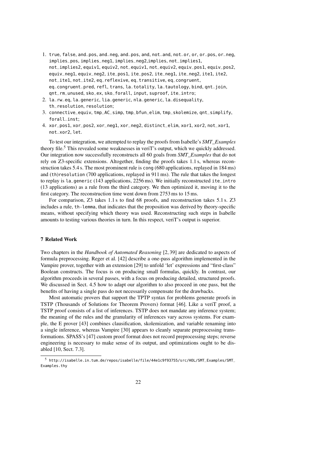- 1. true, false, and\_pos, and\_neg, and\_pos, and, not\_and, not\_or, or, or\_pos, or\_neg, implies\_pos, implies\_neg1, implies\_neg2,implies, not\_implies1, not\_implies2, equiv1, equiv2, not\_equiv1, not\_equiv2, equiv\_pos1, equiv\_pos2, equiv\_neg1, equiv\_neg2, ite\_pos1, ite\_pos2, ite\_neg1, ite\_neg2, ite1, ite2, not\_ite1, not\_ite2, eq\_reflexive, eq\_transitive, eq\_congruent, eq\_congruent\_pred, refl, trans, la\_totality, la\_tautology, bind, qnt\_join, qnt\_rm\_unused, sko\_ex, sko\_forall, input, suproof, ite\_intro;
- 2. la\_rw\_eq, la\_generic, lia\_generic, nla\_generic, la\_disequality, th\_resolution, resolution;
- 3. connective\_equiv, tmp\_AC\_simp, tmp\_bfun\_elim, tmp\_skolemize, qnt\_simplify, forall\_inst;
- 4. xor\_pos1, xor\_pos2, xor\_neg1, xor\_neg2, distinct\_elim, xor1, xor2, not\_xor1, not\_xor2, let.

To test our integration, we attempted to replay the proofs from Isabelle's *SMT\_Examples* theory file.[5](#page-22-0) This revealed some weaknesses in veriT's output, which we quickly addressed. Our integration now successfully reconstructs all 60 goals from *SMT\_Examples* that do not rely on Z3-specific extensions. Altogether, finding the proofs takes 1.1 s, whereas reconstruction takes 5.4 s. The most prominent rule is cong (680 applications, replayed in 184 ms) and (th)resolution (700 applications, replayed in 911 ms). The rule that takes the longest to replay is la\_generic (143 applications, 2256 ms). We initially reconstructed ite\_intro (13 applications) as a rule from the third category. We then optimized it, moving it to the first category. The reconstruction time went down from 2753 ms to 15 ms.

For comparison, Z3 takes 1.1 s to find 68 proofs, and reconstruction takes 5.1 s. Z3 includes a rule, th-lemma, that indicates that the proposition was derived by theory-specific means, without specifying which theory was used. Reconstructing such steps in Isabelle amounts to testing various theories in turn. In this respect, veriT's output is superior.

#### 7 Related Work

Two chapters in the *Handbook of Automated Reasoning* [\[2,](#page-24-5) [39\]](#page-26-3) are dedicated to aspects of formula preprocessing. Reger et al. [\[42\]](#page-26-5) describe a one-pass algorithm implemented in the Vampire prover, together with an extension [\[29\]](#page-25-9) to unfold 'let' expressions and "first-class" Boolean constructs. The focus is on producing small formulas, quickly. In contrast, our algorithm proceeds in several passes, with a focus on producing detailed, structured proofs. We discussed in Sect. [4.5](#page-10-1) how to adapt our algorithm to also proceed in one pass, but the benefits of having a single pass do not necessarily compensate for the drawbacks.

Most automatic provers that support the TPTP syntax for problems generate proofs in TSTP (Thousands of Solutions for Theorem Provers) format [\[46\]](#page-26-6). Like a veriT proof, a TSTP proof consists of a list of inferences. TSTP does not mandate any inference system; the meaning of the rules and the granularity of inferences vary across systems. For example, the E prover [\[43\]](#page-26-7) combines clausification, skolemization, and variable renaming into a single inference, whereas Vampire [\[30\]](#page-25-10) appears to cleanly separate preprocessing transformations. SPASS's [\[47\]](#page-26-8) custom proof format does not record preprocessing steps; reverse engineering is necessary to make sense of its output, and optimizations ought to be disabled [\[10,](#page-25-1) Sect. 7.3].

<span id="page-22-0"></span><sup>5</sup> [http://isabelle.in.tum.de/repos/isabelle/file/44e1c9f93755/src/HOL/SMT\\_Examples/SMT\\_](http://isabelle.in.tum.de/repos/isabelle/file/44e1c9f93755/src/HOL/SMT_Examples/SMT_Examples.thy) [Examples.thy](http://isabelle.in.tum.de/repos/isabelle/file/44e1c9f93755/src/HOL/SMT_Examples/SMT_Examples.thy)

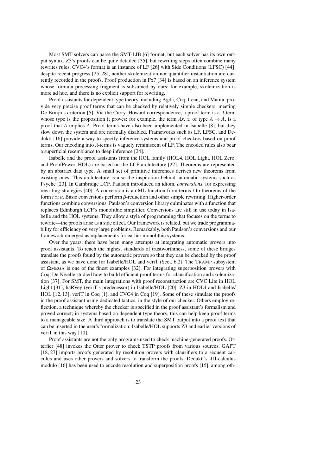Most SMT solvers can parse the SMT-LIB [\[6\]](#page-24-3) format, but each solver has its own output syntax. Z3's proofs can be quite detailed [\[35\]](#page-26-9), but rewriting steps often combine many rewrites rules. CVC4's format is an instance of LF [\[26\]](#page-25-11) with Side Conditions (LFSC) [\[44\]](#page-26-10); despite recent progress [\[25,](#page-25-12) [28\]](#page-25-13), neither skolemization nor quantifier instantiation are currently recorded in the proofs. Proof production in Fx7 [\[34\]](#page-25-14) is based on an inference system whose formula processing fragment is subsumed by ours; for example, skolemization is more ad hoc, and there is no explicit support for rewriting.

Proof assistants for dependent type theory, including Agda, Coq, Lean, and Matita, provide very precise proof terms that can be checked by relatively simple checkers, meeting De Bruijn's criterion [\[5\]](#page-24-6). Via the Curry–Howard correspondence, a proof term is a λ-term whose type is the proposition it proves; for example, the term  $\lambda x$ . *x*, of type  $A \rightarrow A$ , is a proof that *A* implies *A*. Proof terms have also been implemented in Isabelle [\[8\]](#page-24-7), but they slow down the system and are normally disabled. Frameworks such as LF, LFSC, and Dedukti [\[16\]](#page-25-15) provide a way to specify inference systems and proof checkers based on proof terms. Our encoding into  $\lambda$ -terms is vaguely reminiscent of LF. The encoded rules also bear a superficial resemblance to deep inference [\[24\]](#page-25-16).

Isabelle and the proof assistants from the HOL family (HOL4, HOL Light, HOL Zero, and ProofPower–HOL) are based on the LCF architecture [\[22\]](#page-25-7). Theorems are represented by an abstract data type. A small set of primitive inferences derives new theorems from existing ones. This architecture is also the inspiration behind automatic systems such as Psyche [\[23\]](#page-25-17). In Cambridge LCF, Paulson introduced an idiom, *conversions*, for expressing rewriting strategies [\[40\]](#page-26-11). A conversion is an ML function from terms *t* to theorems of the form  $t \simeq u$ . Basic conversions perform  $\beta$ -reduction and other simple rewriting. Higher-order functions combine conversions. Paulson's conversion library culminates with a function that replaces Edinburgh LCF's monolithic simplifier. Conversions are still in use today in Isabelle and the HOL systems. They allow a style of programming that focuses on the terms to rewrite—the proofs arise as a side effect. Our framework is related, but we trade programmability for efficiency on very large problems. Remarkably, both Paulson's conversions and our framework emerged as replacements for earlier monolithic systems.

Over the years, there have been many attempts at integrating automatic provers into proof assistants. To reach the highest standards of trustworthiness, some of these bridges translate the proofs found by the automatic provers so that they can be checked by the proof assistant, as we have done for Isabelle/HOL and veriT (Sect. [6.2\)](#page-20-1). The TRAMP subsystem of ΩMEGA is one of the finest examples [\[32\]](#page-25-18). For integrating superposition provers with Coq, De Nivelle studied how to build efficient proof terms for clausification and skolemization [\[37\]](#page-26-12). For SMT, the main integrations with proof reconstruction are CVC Lite in HOL Light [\[31\]](#page-25-19), haRVey (veriT's predecessor) in Isabelle/HOL [\[20\]](#page-25-20), Z3 in HOL4 and Isabelle/ HOL [\[12,](#page-25-21) [13\]](#page-25-3), veriT in Coq [\[1\]](#page-24-1), and CVC4 in Coq [\[19\]](#page-25-22). Some of these simulate the proofs in the proof assistant using dedicated tactics, in the style of our checker. Others employ reflection, a technique whereby the checker is specified in the proof assistant's formalism and proved correct; in systems based on dependent type theory, this can help keep proof terms to a manageable size. A third approach is to translate the SMT output into a proof text that can be inserted in the user's formalization; Isabelle/HOL supports Z3 and earlier versions of veriT in this way [\[10\]](#page-25-1).

Proof assistants are not the only programs used to check machine-generated proofs. Otterfier [\[48\]](#page-26-13) invokes the Otter prover to check TSTP proofs from various sources. GAPT [\[18,](#page-25-2) [27\]](#page-25-23) imports proofs generated by resolution provers with clausifiers to a sequent calculus and uses other provers and solvers to transform the proofs. Dedukti's λΠ-calculus modulo [\[16\]](#page-25-15) has been used to encode resolution and superposition proofs [\[15\]](#page-25-24), among oth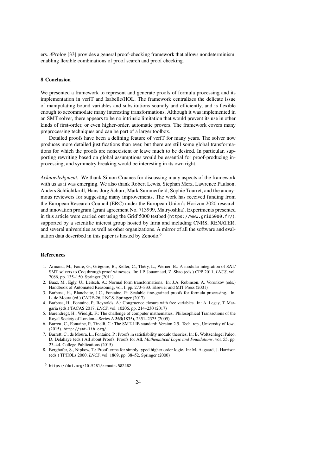ers. λProlog [\[33\]](#page-25-25) provides a general proof-checking framework that allows nondeterminism, enabling flexible combinations of proof search and proof checking.

#### 8 Conclusion

We presented a framework to represent and generate proofs of formula processing and its implementation in veriT and Isabelle/HOL. The framework centralizes the delicate issue of manipulating bound variables and substitutions soundly and efficiently, and is flexible enough to accommodate many interesting transformations. Although it was implemented in an SMT solver, there appears to be no intrinsic limitation that would prevent its use in other kinds of first-order, or even higher-order, automatic provers. The framework covers many preprocessing techniques and can be part of a larger toolbox.

Detailed proofs have been a defining feature of veriT for many years. The solver now produces more detailed justifications than ever, but there are still some global transformations for which the proofs are nonexistent or leave much to be desired. In particular, supporting rewriting based on global assumptions would be essential for proof-producing inprocessing, and symmetry breaking would be interesting in its own right.

*Acknowledgment.* We thank Simon Cruanes for discussing many aspects of the framework with us as it was emerging. We also thank Robert Lewis, Stephan Merz, Lawrence Paulson, Anders Schlichtkrull, Hans-Jörg Schurr, Mark Summerfield, Sophie Tourret, and the anonymous reviewers for suggesting many improvements. The work has received funding from the European Research Council (ERC) under the European Union's Horizon 2020 research and innovation program (grant agreement No. 713999, Matryoshka). Experiments presented in this article were carried out using the Grid'5000 testbed (<https://www.grid5000.fr/>), supported by a scientific interest group hosted by Inria and including CNRS, RENATER, and several universities as well as other organizations. A mirror of all the software and eval-uation data described in this paper is hosted by Zenodo.<sup>[6](#page-24-8)</sup>

#### References

- <span id="page-24-1"></span>1. Armand, M., Faure, G., Grégoire, B., Keller, C., Théry, L., Werner, B.: A modular integration of SAT/ SMT solvers to Coq through proof witnesses. In: J.P. Jouannaud, Z. Shao (eds.) CPP 2011, *LNCS*, vol. 7086, pp. 135–150. Springer (2011)
- <span id="page-24-5"></span>2. Baaz, M., Egly, U., Leitsch, A.: Normal form transformations. In: J.A. Robinson, A. Voronkov (eds.) Handbook of Automated Reasoning, vol. I, pp. 273–333. Elsevier and MIT Press (2001)
- <span id="page-24-2"></span>3. Barbosa, H., Blanchette, J.C., Fontaine, P.: Scalable fine-grained proofs for formula processing. In: L. de Moura (ed.) CADE-26, LNCS. Springer (2017)
- <span id="page-24-0"></span>4. Barbosa, H., Fontaine, P., Reynolds, A.: Congruence closure with free variables. In: A. Legay, T. Margaria (eds.) TACAS 2017, *LNCS*, vol. 10206, pp. 214–230 (2017)
- <span id="page-24-6"></span>5. Barendregt, H., Wiedijk, F.: The challenge of computer mathematics. Philosophical Transactions of the Royal Society of London—Series A 363(1835), 2351–2375 (2005)
- <span id="page-24-3"></span>6. Barrett, C., Fontaine, P., Tinelli, C.: The SMT-LIB standard: Version 2.5. Tech. rep., University of Iowa (2015). <http://smt-lib.org/>
- <span id="page-24-4"></span>7. Barrett, C., de Moura, L., Fontaine, P.: Proofs in satisfiability modulo theories. In: B. Woltzenlogel Paleo, D. Delahaye (eds.) All about Proofs, Proofs for All, *Mathematical Logic and Foundations*, vol. 55, pp. 23–44. College Publications (2015)
- <span id="page-24-7"></span>8. Berghofer, S., Nipkow, T.: Proof terms for simply typed higher order logic. In: M. Aagaard, J. Harrison (eds.) TPHOLs 2000, *LNCS*, vol. 1869, pp. 38–52. Springer (2000)

<span id="page-24-8"></span> $^6$  <https://doi.org/10.5281/zenodo.582482>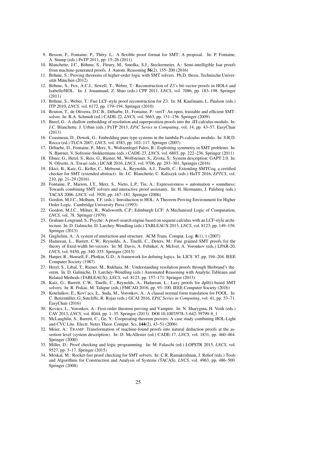- <span id="page-25-0"></span>9. Besson, F., Fontaine, P., Théry, L.: A flexible proof format for SMT: A proposal. In: P. Fontaine, A. Stump (eds.) PxTP 2011, pp. 15–26 (2011)
- <span id="page-25-1"></span>10. Blanchette, J.C., Böhme, S., Fleury, M., Smolka, S.J., Steckermeier, A.: Semi-intelligible Isar proofs from machine-generated proofs. J. Autom. Reasoning 56(2), 155–200 (2016)
- <span id="page-25-8"></span>11. Böhme, S.: Proving theorems of higher-order logic with SMT solvers. Ph.D. thesis, Technische Universität München (2012)
- <span id="page-25-21"></span>12. Böhme, S., Fox, A.C.J., Sewell, T., Weber, T.: Reconstruction of Z3's bit-vector proofs in HOL4 and Isabelle/HOL. In: J. Jouannaud, Z. Shao (eds.) CPP 2011, *LNCS*, vol. 7086, pp. 183–198. Springer (2011)
- <span id="page-25-3"></span>13. Böhme, S., Weber, T.: Fast LCF-style proof reconstruction for Z3. In: M. Kaufmann, L. Paulson (eds.) ITP 2010, *LNCS*, vol. 6172, pp. 179–194. Springer (2010)
- <span id="page-25-6"></span>14. Bouton, T., de Oliveira, D.C.B., Déharbe, D., Fontaine, P.: veriT: An open, trustable and efficient SMTsolver. In: R.A. Schmidt (ed.) CADE-22, *LNCS*, vol. 5663, pp. 151–156. Springer (2009)
- <span id="page-25-24"></span>15. Burel, G.: A shallow embedding of resolution and superposition proofs into the λΠ-calculus modulo. In: J.C. Blanchette, J. Urban (eds.) PxTP 2013, *EPiC Series in Computing*, vol. 14, pp. 43–57. EasyChair (2013)
- <span id="page-25-15"></span>16. Cousineau, D., Dowek, G.: Embedding pure type systems in the lambda-Pi-calculus modulo. In: S.R.D. Rocca (ed.) TLCA 2007, *LNCS*, vol. 4583, pp. 102–117. Springer (2007)
- <span id="page-25-5"></span>17. Déharbe, D., Fontaine, P., Merz, S., Woltzenlogel Paleo, B.: Exploiting symmetry in SMT problems. In: N. Bjørner, V. Sofronie-Stokkermans (eds.) CADE-23, *LNCS*, vol. 6803, pp. 222–236. Springer (2011)
- <span id="page-25-2"></span>18. Ebner, G., Hetzl, S., Reis, G., Riener, M., Wolfsteiner, S., Zivota, S.: System description: GAPT 2.0. In: N. Olivetti, A. Tiwari (eds.) IJCAR 2016, *LNCS*, vol. 9706, pp. 293–301. Springer (2016)
- <span id="page-25-22"></span>19. Ekici, B., Katz, G., Keller, C., Mebsout, A., Reynolds, A.J., Tinelli, C.: Extending SMTCoq, a certified checker for SMT (extended abstract). In: J.C. Blanchette, C. Kaliszyk (eds.) HaTT 2016, *EPTCS*, vol. 210, pp. 21–29 (2016)
- <span id="page-25-20"></span>20. Fontaine, P., Marion, J.Y., Merz, S., Nieto, L.P., Tiu, A.: Expressiveness + automation + soundness: Towards combining SMT solvers and interactive proof assistants. In: H. Hermanns, J. Palsberg (eds.) TACAS 2006, *LNCS*, vol. 3920, pp. 167–181. Springer (2006)
- <span id="page-25-4"></span>21. Gordon, M.J.C., Melham, T.F. (eds.): Introduction to HOL: A Theorem Proving Environment for Higher Order Logic. Cambridge University Press (1993)
- <span id="page-25-7"></span>22. Gordon, M.J.C., Milner, R., Wadsworth, C.P.: Edinburgh LCF: A Mechanised Logic of Computation, *LNCS*, vol. 78. Springer (1979)
- <span id="page-25-17"></span>23. Graham-Lengrand, S.: Psyche: A proof-search engine based on sequent calculus with an LCF-style architecture. In: D. Galmiche, D. Larchey-Wendling (eds.) TABLEAUX 2013, *LNCS*, vol. 8123, pp. 149–156. Springer (2013)
- <span id="page-25-16"></span>24. Guglielmi, A.: A system of interaction and structure. ACM Trans. Comput. Log. 8(1), 1 (2007)
- <span id="page-25-12"></span>25. Hadarean, L., Barrett, C.W., Reynolds, A., Tinelli, C., Deters, M.: Fine grained SMT proofs for the theory of fixed-width bit-vectors. In: M. Davis, A. Fehnker, A. McIver, A. Voronkov (eds.) LPAR-20, *LNCS*, vol. 9450, pp. 340–355. Springer (2015)
- <span id="page-25-11"></span>26. Harper, R., Honsell, F., Plotkin, G.D.: A framework for defining logics. In: LICS '87, pp. 194–204. IEEE Computer Society (1987)
- <span id="page-25-23"></span>27. Hetzl, S., Libal, T., Riener, M., Rukhaia, M.: Understanding resolution proofs through Herbrand's theorem. In: D. Galmiche, D. Larchey-Wendling (eds.) Automated Reasoning with Analytic Tableaux and Related Methods (TABLEAUX), *LNCS*, vol. 8123, pp. 157–171. Springer (2013)
- <span id="page-25-13"></span>28. Katz, G., Barrett, C.W., Tinelli, C., Reynolds, A., Hadarean, L.: Lazy proofs for dpll(t)-based SMT solvers. In: R. Piskac, M. Talupur (eds.) FMCAD 2016, pp. 93–100. IEEE Computer Society (2016)
- <span id="page-25-9"></span>29. Kotelnikov, E., Kov\'acs, L., Suda, M., Voronkov, A.: A clausal normal form translation for FOOL. In: C. Benzmüller, G. Sutcliffe, R. Rojas (eds.) GCAI 2016, *EPiC Series in Computing*, vol. 41, pp. 53–71. EasyChair (2016)
- <span id="page-25-10"></span>30. Kovács, L., Voronkov, A.: First-order theorem proving and Vampire. In: N. Sharygina, H. Veith (eds.) CAV 2013, *LNCS*, vol. 8044, pp. 1–35. Springer (2013). DOI 10.1007/978-3-642-39799-8\_1
- <span id="page-25-19"></span>31. McLaughlin, S., Barrett, C., Ge, Y.: Cooperating theorem provers: A case study combining HOL-Light and CVC Lite. Electr. Notes Theor. Comput. Sci. 144(2), 43–51 (2006)
- <span id="page-25-18"></span>32. Meier, A.: TRAMP: Transformation of machine-found proofs into natural deduction proofs at the assertion level (system description). In: D. McAllester (ed.) CADE-17, *LNCS*, vol. 1831, pp. 460–464. Springer (2000)
- <span id="page-25-25"></span>33. Miller, D.: Proof checking and logic programming. In: M. Falaschi (ed.) LOPSTR 2015, *LNCS*, vol. 9527, pp. 3–17. Springer (2015)
- <span id="page-25-14"></span>34. Moskal, M.: Rocket-fast proof checking for SMT solvers. In: C.R. Ramakrishnan, J. Rehof (eds.) Tools and Algorithms for Construction and Analysis of Systems (TACAS), *LNCS*, vol. 4963, pp. 486–500. Springer (2008)
	- 25